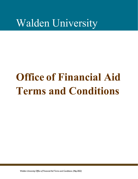# Walden University

# **Office of Financial Aid Terms and Conditions**

*Walden University Office of Financial Aid Terms and Conditions (May 2022)*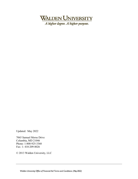

A higher degree. A higher purpose.

Updated: May 2022

7065 Samuel Morse Drive Columbia, MD 21046 Phone: 1-800-925-3368 Fax: 1- 410-209-8026

© 2013 Walden University, LLC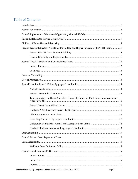# **Table of Contents**

| Federal Teacher Education Assistance for College and Higher Education (TEACH) Grant7 |  |
|--------------------------------------------------------------------------------------|--|
|                                                                                      |  |
|                                                                                      |  |
|                                                                                      |  |
|                                                                                      |  |
|                                                                                      |  |
|                                                                                      |  |
|                                                                                      |  |
|                                                                                      |  |
|                                                                                      |  |
|                                                                                      |  |
|                                                                                      |  |
| Time Limitation on Direct Subsidized Loan Eligibility for First-Time Borrowers on or |  |
|                                                                                      |  |
|                                                                                      |  |
|                                                                                      |  |
|                                                                                      |  |
|                                                                                      |  |
|                                                                                      |  |
|                                                                                      |  |
|                                                                                      |  |
|                                                                                      |  |
|                                                                                      |  |
|                                                                                      |  |
|                                                                                      |  |
|                                                                                      |  |
|                                                                                      |  |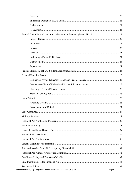| Walden University Office of Financial Aid Terms and Conditions (May 2022) | Page 4 |
|---------------------------------------------------------------------------|--------|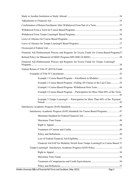| Financial Aid Disbursement Process and Requests for Excess Funds for Course-Based Programs37 |
|----------------------------------------------------------------------------------------------|
|                                                                                              |
| Financial Aid Disbursement Process and Requests for Excess Funds for Tempo Learning®         |
|                                                                                              |
|                                                                                              |
| Example 1 Course-Based Program -- Enrollment in Modules:43                                   |
| Example 2 Course-Based Program --Failing All Classes or the Last Class:43                    |
| Example 3 Course-Based Program--Withdrawal from Term:44                                      |
| Example 4 Course-Based Program —Participation for More Than 60% of the Term:                 |
| Example 5 Tempo Learning® —Participation for More Than 60% of the Payment                    |
|                                                                                              |
| Satisfactory Academic Progress (SAP) Standards for Course-Based Programs47                   |
|                                                                                              |
|                                                                                              |
|                                                                                              |
|                                                                                              |
|                                                                                              |
|                                                                                              |
| Financial Aid SAP for Modality Switch from Tempo Learning® to Course Based.51                |
|                                                                                              |
|                                                                                              |
|                                                                                              |
|                                                                                              |
|                                                                                              |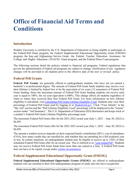# **Office of Financial Aid Terms and Conditions**

# <span id="page-5-0"></span>**Introduction**

Walden University is certified by the U.S. Department of Education as being eligible to participate in the Federal Pell Grant program, the Federal Supplemental Educational Opportunity Grant (FSEOG) program, the Iraq and Afghanistan Service Grant, the Federal Teacher Education Assistance for College and Higher Education (TEACH) Grant program, and the Federal Direct Loan program.

The following sections detail the policies related to financial aid programs. Federal regulations that govern the administration of federal aid programs are subject to change. Notification of any regulatory changes will be provided to all students prior to the effective date of the new or revised policy.

# <span id="page-5-1"></span>**Federal Pell Grants**

**Federal Pell Grants** are generally offered to undergraduate students who have not yet earned a bachelor's or professional degree. The amount of Federal Pell Grant funds students may receive over their lifetime is limited by federal law to be the equivalent of six years (12 semesters) of Federal Pell Grant funding. Since the maximum amount of Federal Pell Grant funding students can receive each year is equal to 100%, the six-year equivalent is 600%. This change affects all students regardless of when or where they received their first Federal Pell Grant. For more information on how lifetime eligibility is calculated, visit [Calculating Pell Grant Lifetime Eligibility Used.](https://studentaid.gov/understand-aid/types/grants/pell/calculate-eligibility) Students may view their percentage of Federal Pell Grant used by logging in to [StudentAid.gov.](https://studentaid.gov/) Click "View Details" in the "My Aid" section and the "Pell Lifetime Eligibility Used" percentage will be displayed in the "Grants" section under "Aid Summary". The U.S. Department of Education (ED) determines and keeps track of a student's Federal Pell Grant Lifetime Eligibility percentage used.

The maximum Federal Pell Grant offer for the 2021-2022 award year (July 1, 2021 – June 30, 2022) is \$6,495.

The maximum Federal Pell Grant offer for the 2022-2023 award year (July 1, 2022 – June 30, 2023) is \$6,895.

The amount a student receives depends on their expected family contribution (EFC), cost of attendance (COA), how many credits they are enrolled for, and whether they are attending for a full academic year or less. In certain situations, an undergraduate student may be eligible to receive up to 150% of their scheduled Federal Pell Grant offer for an award year. This is referred to as ["year-round Pell".](https://studentaid.gov/understand-aid/types/grants/pell) Students may not receive Federal Pell Grant funds from more than one school at a time. A Federal Pell Grant does not have to be repaid, except under [certain circumstances.](https://studentaid.gov/understand-aid/types/grants)

# <span id="page-5-2"></span>**Federal Supplemental Educational Opportunity Grant (FSEOG)**

**Federal Supplemental Educational Opportunity Grants (FSEOG)** are offered to undergraduate students who are enrolled in their first undergraduate program of study and who have exceptional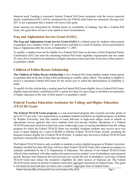financial need. Funding is extremely limited. Federal Pell Grant recipients with the lowest expected family contribution (EFC) will be considered first for FSEOG until funds are exhausted. Having a low EFC is not a guarantee that a student will receive this grant.

Grant amounts are determined by Walden based on availability of funding. Just like a Federal Pell Grant, this grant does not have to be repaid in most circumstances.

# <span id="page-6-0"></span>**Iraq and Afghanistan Service Grant (IASG)**

**The Iraq and Afghanistan Grant Service Grant (IASG)** is a federal grant for students whose parent or guardian was a member of the U.S. armed forces and died as a result of military service performed in Iraq or Afghanistan after the events of September 11, 2001.

To qualify, a student must not be eligible for a Federal Pell Grant on the basis of their Expected Family Contribution (EFC) but meet the remaining Federal Pell Grant eligibility requirements and was under 24 years old or enrolled at an institution of higher education at least part-time at the time of their parent's or guardian's death.

# <span id="page-6-1"></span>**Children of Fallen Heroes Scholarship**

**The Children of Fallen Heroes Scholarship** is for a Federal Pell Grant-eligible student whose parent or guardian died in the line of duty while performing as a public safety officer. The student is eligible to receive a maximum Federal Pell Grant for the award year in which the determination of eligibility is made.

To qualify for this scholarship, a student must be Federal Pell Grant-eligible, have a Federal Pell Granteligible expected family contribution (EFC), and be less than 24 years of age or enrolled at an institution of higher education at the time of their parent's or guardian's death.

# <span id="page-6-2"></span>**Federal Teacher Education Assistance for College and Higher Education (TEACH) Grant**

**The Federal TEACH Grant program** is a non-need-based program that currently provides grants of up to \$3,772 per year, \* per sequestration, to graduate students enrolled in an eligible program, as defined by Walden University, and who intends to teach full-time in high-need subject areas at schools or educational service agencies that serve students from low-income families. Recipients of a Federal TEACH Grant must teach for at least four years within eight years of ceasing enrollment from the college program for which the Federal TEACH Grant was awarded. Graduate students may receive up to two years of grant funding for a total of \$8,000 in lifetime Federal TEACH Grant awards, assuming the program remains eligible for a Federal TEACH Grant. A student may not receive Federal TEACH Grant payments concurrently from more than one school.

The Federal TEACH Grant is only available to students in select eligible programs at Walden University. Students enrolled less than full-time will have their Federal TEACH Grant offer reduced according to a schedule established by the U.S. Department of Education. The amount of the Federal TEACH Grant offered when combined with other student aid cannot exceed a student's cost of attendance each payment period. Because total financial aid received must not exceed the cost of attendance, receiving a Federal TEACH Grant may reduce the recipient's eligibility for other sources of financial aid. The Federal TEACH Grant cannot be denied if students reach their aggregate maximum on federal loans. This grant is not based on need and does not factor into a student's aggregate limit on federal loans.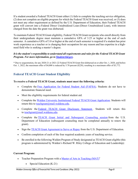If a student awarded a Federal TEACH Grant either (1) fails to complete the teaching service obligation, (2) does not complete an eligible program for which the Federal TEACH Grant was received, or (3) does not meet any other requirement as defined by the U.S. Department of Education, their Federal TEACH grant will convert into a Federal Direct Unsubsidized Loan (Direct Unsubsidized Loan), with interest charged from the date the grant was disbursed.

To maintain Federal TEACH Grant eligibility, Federal TEACH Grant recipients who enroll directly from their undergraduate degree must maintain a cumulative GPA of 3.25 or higher at the end of each semester. A cumulative GPA of 3.0 or higher at the end of each semester is required if a student has prior work experience as a teacher or is changing their occupation for any reason and has expertise in a highneed field who is seeking a master's degree.

#### *It isthe student'sresponsibility to understand all requirements and rulesforthe Federal TEACH Grant Program. For more information, go to [StudentAid.gov.](https://studentaid.gov/understand-aid/types/grants/teach)*

\* Due to sequestration, for any 2020-21 or 2021-22 Federal TEACH Grant first disbursed on or after Oct. 1, 2020, and before Oct. 1, 2022, the maximum offer of \$4,000 is reduced by 5.70 percent (\$228), resulting in a maximum offer of \$3,772.

# <span id="page-7-0"></span>**Federal TEACH Grant Student Eligibility**

#### **To receive a Federal TEACH Grant, students must meet the following criteria:**

- Complete the [Free Application for Federal Student Aid \(FAFSA\).](https://studentaid.gov/h/apply-for-aid/fafsa) Students do not have to demonstrate financial need.
- Meet the eligibility requirements for federal student aid.
- Complete the [Walden University Institutional Federal TEACH Grant Application.](https://finaid.waldenu.edu/NetPartnerStudent/PgHome.aspx) Students will return this to [teachgrant@mail.waldenu.edu.](mailto:teachgrant@mail.waldenu.edu)
- Complete the Federal TEACH [Grant Disclosure Statement](https://finaid.waldenu.edu/NetPartnerStudent/PgHome.aspx) . Students will return this to [teachgrant@mail.waldenu.edu.](mailto:teachgrant@mail.waldenu.edu)
- Complete the [TEACH Grant Initial and Subsequent Counseling session](https://studentaid.gov/teach-initial-and-subsequent-counseling/) from the U.S. Department of Education (subsequent counseling must be completed annually to renew the grant).
- Sign the [TEACH Grant Agreement to Serve or Repay](https://studentaid.gov/teach-agreement/) from the U.S. Department of Education.
- Confirm completion of each of the four required academic years of teaching service.
- Be enrolled in the following Walden Program of Study designated as TEACH Grant eligible (this program is administered by Walden's Richard W. Riley College of Education and Leadership):

#### **Current Program:**

- Teacher Preparation Program with a Master of Arts in Teaching  $(MAT)$ <sup>†</sup>
	- Special Education (K-21)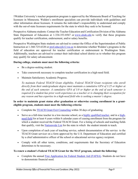†Walden University's teacher preparation program is approved by the Minnesota Board of Teaching for licensure in Minnesota. Walden's enrollment specialists can provide individuals with guidelines and other information about licensure. It remains the individual's responsibility to understand and comply with the out-of-state licensure requirements for the state in which they seek to be licensed.

Prospective Alabama students: Contact the Teacher Education and Certification Division of the Alabama State Department of Education at 1-334-353-8567 or [www.alsde.edu](http://www.alsde.edu/) to verify that these programs qualify for teacher certification, endorsement, and/or salary benefits.

Prospective Washington State students are advised to contact the Office of the Superintendent of Public Instruction at 1-360-725-6320 or [prof.educ@k12.wa.us](mailto:prof.educ@k12.wa.us) to determine whether Walden's programs in the field of education are approved for teacher certification or endorsement in Washington State. Additionally, teachers are advised to contact their individual school district as to whether this program may qualify for salary advancement.

#### **During college, students must meet the following criteria:**

- Be a degree-seeking student.
- Take coursework necessary to complete teacher certification in a high-need field.
- Maintain Satisfactory Academic Progress.

*To maintain Federal TEACH Grant eligibility, Federal TEACH Grant recipients who enroll directly from their undergraduate degree must maintain a cumulative GPA of 3.25 or higher at the end of each semester. A cumulative GPA of 3.0 or higher at the end of each semester is required if a student has prior work experience as a teacher or is changing their occupation for any reason and has expertise in a high-need field who is seeking a master's degree.*

#### **In order to maintain grant status after graduation or otherwise ceasing enrollment in a granteligible program, students must meet the following criteria:**

- Complete the [TEACH Grant Exit Counseling](https://studentaid.gov/teach-exit-counseling/) within 30 days of graduating.
- Serve as a full-time teacher in a low-income school, as a [highly qualified](https://studentaid.gov/understand-aid/types/grants/teach) teacher, and in a [high](https://studentaid.gov/understand-aid/types/grants/teach#high-need-fields)[need field](https://studentaid.gov/understand-aid/types/grants/teach#high-need-fields) for at least 4 years within 8 calendar years of ceasing enrollment from the program for which a student received the Federal TEACH Grant. For a listing of schools and teaching fields that qualify, visit the [Nationwide List](https://tsa.ed.gov/#/home/) for the state in which the student intends to teach.
- Upon completion of each year of teaching service, submit documentation of the service to the TEACH Grant servicer on a form approved by the U.S. Department of Education and certified by a chief administrative officer of the school or educational service agency recipient.
- Comply with all other terms, conditions, and requirements that the Secretary of Education determines to be necessary.

#### **To renew a student's Federal TEACH Grant for the MAT program, submit the following:**

• Complete the annual [Free Application for Federal Student Aid \(FAFSA\).](https://studentaid.gov/h/apply-for-aid/fafsa) Students do not have to demonstrate financial need.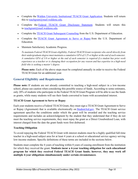- Complete the [Walden University Institutional TEACH Grant Application.](https://finaid.waldenu.edu/NetPartnerStudent/PgHome.aspx) Students will return this to [teachgrant@mail.waldenu.edu.](mailto:teachgrant@mail.waldenu.edu)
- Complete the Federal TEACH [Grant Disclosure Statement.](https://finaid.waldenu.edu/NetPartnerStudent/PgHome.aspx) Students will return this to [teachgrant@mail.waldenu.edu.](mailto:teachgrant@mail.waldenu.edu)
- Complete the [TEACH Grant Subsequent Counseling](https://studentaid.gov/teach-initial-and-subsequent-counseling/) from the U.S. Department of Education.
- Complete the [TEACH Grant Agreement to Serve](https://studentaid.gov/teach-agreement/) or Repay from the U.S. Department of Education.
- Maintain Satisfactory Academic Progress.

*To maintain Federal TEACH Grant eligibility, Federal TEACH Grant recipients who enroll directly from their undergraduate degree must maintain a cumulative GPA of 3.25 or higher at the end of each semester. A cumulative GPA of 3.0 or higher at the end of each semester is required if a student has prior work experience as a teacher or is changing their occupation for any reason and has expertise in a high-need field who is seeking a master's degree.*

**Please note:** Each of the above steps must be completed annually in order to receive the Federal TEACH Grant for an additional year.

# <span id="page-9-0"></span>**General Eligibility and Requirements**

**Please note:** If students are not already committed to teaching a high-need subject in a low-income school, please use caution when considering this possible source of funds. According to some estimates, only 20% of students who participate in the Federal TEACH Grant Program will be able to use the funds as grants, while many students will see their funds converted to loans with accumulated interest.

#### **TEACH Grant Agreement to Serve or Repay**

Each year students receive a Federal TEACH Grant, they must sign a TEACH Grant Agreement to Serve or Repay (Agreement) that is available electronically on [StudentAid.gov.](https://studentaid.gov/teach-agreement/) The TEACH Grant service agreement specifies the conditions under which the grant will be awarded and the teaching service requirements and includes an acknowledgment by the student that they understand that if they do not meet the teaching service requirements, they must repay the grant as a Direct Unsubsidized Loan, with interest charged from the date the grant funds were first disbursed.

#### **Teaching Obligation**

To avoid repaying the Federal TEACH Grant with interest students must be a highly qualified full-time teacher in a high-need subject area for at least 4 years at a school or educational service agency serving low-income students. Specific definitions of these terms are included in the sections below.

Students must complete the 4 years of teaching within 8 years of ceasing enrollment from the institution for which they received the grant. **Students incur a 4-year teaching obligation for each educational program for which they received Federal TEACH Grant funds; however, they may work off multiple 4-year obligations simultaneously under certain circumstances**.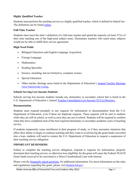#### **Highly Qualified Teacher**

Students must perform the teaching service as a highly qualified teacher, which is defined in federal law. The definition can be found [online.](https://www.law.cornell.edu/cfr/text/34/686.2)

#### **Full-Time Teacher**

Students must meet the state's definition of a full-time teacher and spend the majority (at least 51%) of their time teaching one of the high-need subject areas. Elementary teachers who teach many subjects would not be able to fulfill their service agreement.

#### **High-Need Fields**

- Bilingual Education and English Language Acquisition
- Foreign Language
- **Mathematics**
- Reading Specialist
- Science, including, but not limited to, computer science
- Special Education
- Other teacher shortage areas listed in the Department of Education's [Annual Teacher Shortage](https://tsa.ed.gov/#/home/)  [Area Nationwide Listing.](https://tsa.ed.gov/#/home/)

#### **Schools Serving Low-Income Students**

Schools serving low-income students include any elementary or secondary school that is listed in the U.S. Department of Education's Annual [Teacher Cancellation Low-Income \(TCLI\) Directory.](https://studentaid.gov/tcli/)

#### **Documentation**

Students must respond promptly to any requests for information or documentation from the U.S. Department of Education, even if these are duplicate requests. These requests will be sent to students while they are still in school, as well as once they are out of school. Students will be required to confirm when they have completed each of the four required elementary or secondary academic years of teaching service.

If students temporarily cease enrollment in their program of study, or if they encounter situations that affect their ability to begin or continue teaching and they want to avoid having the grant funds converted into a loan, students will need to contact the U.S. Department of Education to request a suspension of their teaching service obligation.

#### **IMPORTANT REMINDERS**

Failure to complete the teaching service obligation, respond to requests for information, properly document their teaching service, or otherwise lose eligibility for the grant will cause the Federal TEACH Grant funds received to be converted to a Direct Unsubsidized Loan with interest.

Please visit the [frequently asked questions](https://finaid.waldenu.edu/NetPartnerStudent/PgHome.aspx) for additional information. For more information on the rules and regulations regarding this grant, please visit [StudentAid.gov.](https://studentaid.gov/understand-aid/types/grants/teach)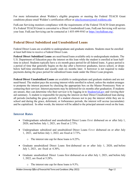For more information about Walden's eligible programs or meeting the Federal TEACH Grant conditions please email Walden's certification officer at [educlicensure@mail.waldenu.edu.](mailto:educlicensure@mail.waldenu.edu)

FedLoan Servicing monitors compliance with the requirements of the Federal TEACH Grant program. If a Federal TEACH Grant is converted to a Direct Unsubsidized Loan, FedLoan Servicing will service your loan. FedLoan Servicing can be contacted at 1-855-499-9543 or [https://myfedloan.org/.](https://myfedloan.org/)

# <span id="page-11-0"></span>**Federal Direct Subsidized and Unsubsidized Loans**

Federal Direct Loans are available to undergraduate and graduate students. Students must be enrolled at least half-time to receive a Federal Direct Loan.

**Federal Direct Subsidized Loans** are need-based loans available only to undergraduate students. The U.S. Department of Education pays the interest on this loan while the student is enrolled at least halftime in school. Students typically have a six-month grace period for all federal loans. A grace period is a period of time that generally begins on the day after a borrower graduates, leaves school, or drops below half-time enrollment and usually ends six months later. A borrower is not required to make payments during the grace period for subsidized loans made under the Direct Loan program.

**Federal Direct Unsubsidized Loans** are available to undergraduate and graduate students and are not need-based. The student pays the accruing interest while enrolled in school, unless the student arranges to postpone the interest payment by checking the appropriate box on the Master Promissory Note or contacting their servicer. Interest payments may be deferred for six months after graduation. If students are unsure, they can determine who their servicer is by logging in to [StudentAid.gov](https://studentaid.gov/) and viewing their aid summary. A student is responsible for paying the interest on their Direct Unsubsidized loan during all periods (including the grace period). If a student chooses not to pay the interest while they are in school and during the grace, deferment, or forbearance periods, the interest will accrue (accumulate) and be capitalized. In other words, the interest will be added to the principal amount owed on the loan.

#### <span id="page-11-1"></span>**Interest Rates**

- Undergraduate subsidized and unsubsidized Direct Loans first disbursed on or after July 1, 2020, and before July 1, 2021, are fixed at 2.75%.
- Undergraduate subsidized and unsubsidized Direct Loans first disbursed on or after July 1, 2021, and before July 1, 2022, are fixed at 3.73%.
	- o The interest rate cap for these loans is 8.25%.
- Graduate unsubsidized Direct Loans first disbursed on or after July 1, 2020, and before July 1, 2021, are fixed at 4.30%.
- Graduate unsubsidized Direct Loans first disbursed on or after July 1, 2021, and before July 1, 2022, are fixed at 5.28%.
	- o The interest rate cap for these loans is 9.5%.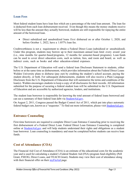#### <span id="page-12-0"></span>**Loan Fees**

Most federal student loans have loan fees which are a percentage of the total loan amount. The loan fee is deducted from each loan disbursement received. Even though this means the money students receive will be less than the amount they actually borrowed, students are still responsible for repaying the entire amount of the borrowed loan.

• Direct subsidized and unsubsidized loans first disbursed on or after October 1, 2020, and before October 1, 2022, have a 1.057% loan fee.

Creditworthiness is not a requirement to obtain a Federal Direct Loan (subsidized or unsubsidized). Under this program, students may borrow up to their maximum annual loan limit every award year (i.e., nine months for quarter-based programs, 12 months for semester-based programs). Loan funds can be used to cover direct education costs, such as tuition, fees, and room and board, as well as indirect costs, such as books and other education-related expenses.

The U.S. Department of Education will send a federal loan Disclosure Statement to students, either before or at the same time as disbursement, which provides information about the Federal Direct Loans Walden University plans to disburse (pay out) by crediting the student's school account, paying the student directly, or both. For subsequent disbursements, students will also receive a Plain Language Disclosure from the U.S. Department of Education that will summarize the terms and conditions of the loan(s). Walden encourages students to keep a copy of all disclosures for their records. All information submitted for the purpose of securing a federal student loan will be submitted to the U.S. Department of Education and are accessible by authorized agencies, lenders, and institutions.

The student loan borrower is responsible for knowing the total amount of federal loans borrowed and can see a summary of their federal loan debt via [StudentAid.gov.](https://studentaid.gov/)

On August 2, 2011, Congress passed the Budget Control Act of 2011, which put into place automatic federal budget cuts, known as a "sequester." To find out more information, please visit [StudentAid.gov.](https://studentaid.gov/understand-aid/types/loans/subsidized-unsubsidized)

# <span id="page-12-1"></span>**Entrance Counseling**

First-time borrowers are required to complete Direct Loan Entrance Counseling prior to receiving the first disbursement of a Federal Direct Loan. Federal Direct Loan Entrance Counseling is completed online at [StudentAid.gov](https://studentaid.gov/entrance-counseling/) and will help students understand their rights and obligations as a student loan borrower. Loan counseling is mandatory and must be completed before students can receive loan funds.

# **Cost of Attendance (COA)**

The Financial Aid Cost of Attendance (COA) is an estimate of the educational costs for the academic year and is used for calculating a student's Federal Student Aid (FSA) program fund eligibility (Pell Grant, FSEOG, Direct Loans, and TEACH Grant). Students may view their cost of attendance along with their financial offer on their [myFinAid](https://finaid.waldenu.edu/NetPartnerStudent/Logon.aspx) page.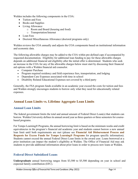Walden includes the following components in the COA:

- Tuition and Fees
- Books and Supplies
- Living Allowance
	- o Room and Board (housing and food)
	- o Transportation/Internet
- Loan Fees
- Doctoral Miscellaneous Allowance (doctoral programs only)

Walden reviews the COA annually and adjusts the COA components based on institutional information and economic data.

The following allowable charges may be added to the COA within pre-defined caps if accompanied by requested documentation. Eligibility for additional loan funding to pay for these allowable charges depends on additional financial aid eligibility after the initial offer is determined. Students who seek an increase in the COA for any of the allowable charges below must start by discussing their financial aid options with a Walden financial aid counselor.

- Computer Purchase
- Program required residency and field experience fees, transportation, and lodging
- Dependent Care Expenses associated with time in school
- Disability Related Educational Expenses not covered by a third party

Generally, the FSA program funds available in an academic year exceed the costs for tuition and fees and Walden strongly encourages students to borrow only what they need for educationally related expenses.

# <span id="page-13-0"></span>**Annual Loan Limits vs. Lifetime Aggregate Loan Limits**

#### <span id="page-13-1"></span>**Annual Loan Limits**

The federal government limits the total and annual amount of Federal Direct Loan(s) that students can borrow. Walden University defines its annual award year as three quarters or three semesters for coursebased programs.

For Tempo Learning® Programs, the annual borrowing limit is based on the minimum weeks and credit equivalencies in the program's financial aid academic year and students cannot borrow a new annual loan limit until both requirements are met (please see **Financial Aid Disbursement Process and Requests for Excess Funds for Tempo Learning® Programs** for program specific information). Students cannot exceed the annual Federal Direct Loan limits in the award year. Loans borrowed at a prior institution can impact the student's eligibility at Walden. The Office of Financial Aid may ask students to provide additional information about prior loans in order to process new loans at Walden.

#### <span id="page-13-2"></span>**Federal Direct Subsidized Loans**

**Undergraduate** annual borrowing ranges from \$3,500 to \$5,500 depending on year in school and expected family contribution (EFC).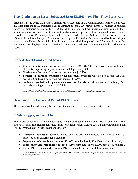#### <span id="page-14-0"></span>**Time Limitation on Direct Subsidized Loan Eligibility for First-Time Borrowers**

Effective July 1, 2021, the FAFSA Simplification Act, part of the Consolidated Appropriations Act, 2021, repealed the 150% Subsidized Usage Limit Applies (SULA) requirements. For Direct Subsidized Loans first disbursed on or after July 1, 2021, there is no longer a time limitation. Prior to July 1, 2021, a first-time borrower was subject to a limit on the maximum period of time they could receive Direct Subsidized Loans. Previously, they could not receive Federal Direct Subsidized Loans for more than 150% of the published length of their academic program. For Walden's course-based bachelor's degree programs, the Federal Direct Subsidized Loan maximum eligibility period was 6.5 academic years. For the Tempo Learning® programs, the Federal Direct Subsidized Loan maximum eligibility period was 6 years.

#### <span id="page-14-1"></span>**Federal Direct Unsubsidized Loans**

- **Undergraduate** annual borrowing ranges from \$5,500–\$12,500 (less Direct Subsidized Loan eligibility) depending on year in school and dependency status.
- **Graduate** student annual borrowing maximum is \$20,500<sup>1</sup>
- **Teacher Preparation Students or Endorsement Students** who do not choose the M.S. degree option have a borrowing maximum of \$12,500.
- **Students Enrolled in Preparatory Courses for the Master of Science in Nursing** (MSN) have a borrowing maximum of \$12,500.

*¹ Master of Public Health students may be eligible for up to \$33,000 in Federal Direct Unsubsidized Loans annually.*

#### <span id="page-14-2"></span>**Graduate PLUS Loans and Parent PLUS Loans**

These loans are limited annually by the cost of attendance minus any financial aid received.

#### <span id="page-14-3"></span>**Lifetime Aggregate Loan Limits**

The federal government limits the aggregate amount of Federal Direct Loans that students can borrow in their lifetime. The lifetime aggregate limits for federal student loans (Federal Family Education Loan [FFEL] Program and Direct Loans) are as follows:

- **Graduate students:** \$138,500 combined (only \$65,500 may be subsidized; includes amounts borrowed as an undergraduate student) ²
- **Dependent undergraduate students:** \$31,000 combined (only \$23,000 may be subsidized).
- **Independent undergraduate students:** \$57,500 combined (only \$23,000 may be subsidized).
- **Parent PLUS Loans and Graduate PLUS Loans** do not have a lifetime maximum.

*² Master of Public Health students may be eligible for up to \$224,000 combined (only \$65,000 may be subsidized; includes amounts borrowed as an undergraduate student).*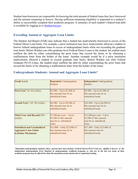Student loan borrowers are responsible for knowing the total amount of federal loans they have borrowed and the amount remaining to borrow. Having sufficient remaining eligibility is important to a student's ability to successfully complete their academic program. A summary of each student's federal loan debt is available by logging in to [StudentAid.gov.](https://studentaid.gov/)

#### <span id="page-15-0"></span>**Exceeding Annual or Aggregate Loan Limits**

The Student Aid Report (SAR) may indicate that a student has inadvertently borrowed in excess of the Federal Direct Loan limits. For example, a prior institution may have inadvertently allowed a student to borrow federal undergraduate loans in excess of undergraduate limits while not exceeding the graduate loan limits. Before Walden can offer graduate-level Federal Direct Loans to the student, the student must reaffirm the debt by either consolidating the prior loans that exceed the limits or by obtaining a reaffirmation letter from the holder of the loans. Another example would be if a prior institution inadvertently allowed a student to exceed graduate loan limits. Before Walden can offer Federal Graduate PLUS Loans, the student must reaffirm the debt by either consolidating the prior loans that exceed the limits or by obtaining a reaffirmation letter from the holder of the loans.

#### **Grade Level Dependent** Undergraduate Student **Independent** Undergraduate **Student First-Year\***  $(0-44 \text{ credits})$  \$5,500—Up to \$3,500 of this amount may be in subsidized loans. \$9,500—Up to \$3,500 of this amount may be in subsidized loans. **Second-Year\***  $(45-89 \text{ credits})$  \$6,500—Up to \$4,500 of this amount may be in subsidized loans. \$10,500—Up to \$4,500 of this amount may be in subsidized loans. **Third Year and Beyond\***(90+ credits) \$7,500 per year —Up to \$5,500 of this amount may be in subsidized loans. \$12,500 per year—Up to \$5,500 of this amount may be in subsidized loans. **Subsidized and Unsubsidized Aggregate Loan Limits (Lifetime Maximum)** \$31,000—Only \$23,000 of this amount may be in subsidized loans. \$57,500—Only \$23,000 of this amount may be subsidized loans.

#### <span id="page-15-1"></span>**Undergraduate Students: Annual and Aggregate Loan Limits\***

\*Dependent undergraduate students whose parents have been denied a Federal Parent PLUS Loan are eligible to borrow at the independent undergraduate level. Students in undergraduate certificate programs or who are in the last two terms of their *academic program may be offered less than the maximum yearly amount due to required prorating.*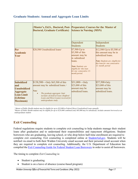|                                                                                                                                  | <b>Doctoral, Graduate Certificate)</b>                                                                                                                                                                                                           | (Master's, Ed.S., Doctoral, Post- Preparatory Courses for the Master of<br><b>Science in Nursing (MSN)</b>                                                                      |                                                                                                                                                                 |
|----------------------------------------------------------------------------------------------------------------------------------|--------------------------------------------------------------------------------------------------------------------------------------------------------------------------------------------------------------------------------------------------|---------------------------------------------------------------------------------------------------------------------------------------------------------------------------------|-----------------------------------------------------------------------------------------------------------------------------------------------------------------|
|                                                                                                                                  |                                                                                                                                                                                                                                                  | Dependent<br><b>Students</b>                                                                                                                                                    | Independent<br><b>Students</b>                                                                                                                                  |
| Per<br><b>Academic</b><br>Year                                                                                                   | \$20,500 Unsubsidized loans <sup>3</sup>                                                                                                                                                                                                         | \$7,500-Up to<br>\$5,500 of this<br>amount may be<br>in subsidized<br>loans.<br><b>Note:</b> Students are<br>eligible for this loan<br>for one consecutive 12-<br>month period. | \$12,500-Up to \$5,500 of<br>this amount may be in<br>subsidized loans.<br>Note: Students are eligible for<br>this loan for one consecutive<br>12- month period |
| <b>Subsidized</b><br>and<br><b>Unsubsidized</b><br><b>Aggregate</b><br><b>Loan Limit</b><br><b>(Lifetime</b><br><b>Maximum</b> ) | $$138,500$ - Only \$65,500 of this<br>amount may be subsidized loans. <sup>4</sup><br>Note:<br>The graduate aggregate limit<br>$\bullet$<br>includes all federal loans (Stafford<br>Loans and Direct Loans) received for<br>undergraduate study. | $$31,000$ —Only<br>\$23,000 of this<br>amount may be<br>subsidized loans.                                                                                                       | \$57,500-Only<br>\$23,000 of this<br>amount may be<br>subsidized loans.                                                                                         |

#### <span id="page-16-0"></span>**Graduate Students: Annual and Aggregate Loan Limits**

*³ Master of Public Health students may be eligible for up to \$33,000 in Federal Direct Unsubsidized Loans annually.*

*4 Master of Public Health students may be eligible for up to \$224,000 combined (only \$65,000 may be subsidized); includes amounts borrowed as an undergraduate student.*

# <span id="page-16-1"></span>**Exit Counseling**

Federal regulations require students to complete exit counseling to help students manage their student loans after graduation and to understand their responsibilities and repayment obligations. Student borrowers who are graduating, leaving school, or who drop below half-time enrollment are required to complete exit counseling. Exit counseling is completed online at **StudentAid.gov**. Students will be notified via email to both their Walden University email account and their personal email account when they are required to complete exit counseling. Additionally, the U.S. Department of Education has compiled the [Exit Counseling Guide for Federal Student Loan Borrowers](https://studentaid.gov/sites/default/files/loan-exit-counseling-color.pdf) in order to assist all borrowers.

The timing to complete *Exit Counseling* is:

- Student is graduating
- Student is on a leave of absence (course-based program)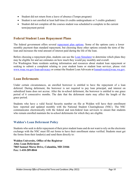- Student did not return from a leave of absence (Tempo program)
- Student is not enrolled at least half-time (6 credits undergraduate or 3 credits graduate)
- Student did not complete all the courses student was scheduled to complete in the current term/payment period

# <span id="page-17-0"></span>**Federal Student Loan Repayment Plans**

The federal government offers several [repayment plan options.](https://studentaid.gov/manage-loans/repayment/plans) Some of the options carry a lower monthly payment than standard repayment, but choosing these other options extends the term of the loan and increases the total amount of interest paid during the life of the loan.

Before choosing a repayment plan, students can use the [Loan Simulator](https://studentaid.gov/loan-simulator/) to determine which plans they may be eligible for and see estimates on how much they would pay monthly and overall.

For Washington State residents seeking information and resources about student loan repayment or seeking to submit a complaint relating to your student loans or student loan servicer, please visit [www.wsac.wa.gov/loan-advocacy](http://www.wsac.wa.gov/loan-advocacy) or contact the Student Loan Advocate at <u>loanadvocate</u>@wsac.wa.gov.

# <span id="page-17-1"></span>**Loan Deferments**

Under certain circumstances, an enrolled borrower is entitled to have the repayment of a loan deferred. During deferment, the borrower is not required to pay loan principal, and interest on subsidized loans does not accrue. After the in-school deferment, the borrower is entitled to one grace period of 6 consecutive months. The date that the deferment starts may affect the length of the grace period.

Students who have a valid Social Security number on file at Walden will have their enrollment here reported and updated monthly with the National Student Clearinghouse (NSC). The NSC communicates electronically with the federal and non-federal loan servicers to ensure that students who remain enrolled maintain the in-school deferments for which they are eligible.

#### <span id="page-17-2"></span>**Walden's Loan Deferment Policy**

Students who seek to defer repayment of their prior student loans and do not want to rely on the electronic exchange with the NSC must fill out forms to have their enrollment status verified. Students must get the forms from their lender(s) and send them directly to:

**Walden University, Office of the Registrar Attn: Loan Deferment 7065 Samuel Morse Drive, Columbia, MD 21046 Fax: 1-410-209-8044**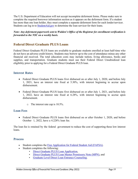The U.S. Department of Education will not accept incomplete deferment forms. Please make sure to complete the required borrower information section as it appears on the deferment form. If a student has more than one loan holder, they must complete a separate deferment form for each lender/servicer. Students can log in to [StudentAid.gov](https://studentaid.gov/) to determine the loan servicer for their loans.

*Note: Any deferment paperwork sent to Walden's Office of the Registrar for enrollment verification is forwarded to the NSC on a weekly basis.*

# <span id="page-18-0"></span>**Federal Direct Graduate PLUS Loans**

Federal Direct Graduate PLUS loans are available to graduate students enrolled at least half-time who do not have an adverse credit history. Students may borrow up to the cost of attendance minus any other financial aid received. The total education costs may include tuition, living allowance, books and supplies, and transportation. Graduate students must use their Federal Direct Unsubsidized loan eligibility prior to applying for a Federal Direct Graduate PLUS loan.

#### <span id="page-18-1"></span>**Interest Rates**

- Federal Direct Graduate PLUS loans first disbursed on or after July 1, 2020, and before July 1, 2021, have an interest rate fixed at 5.30%, with interest beginning to accrue upon disbursement.
- Federal Direct Graduate PLUS loans first disbursed on or after July 1, 2021, and before July 1, 2022, have an interest rate fixed at 6.28%, with interest beginning to accrue upon disbursement.
	- o The interest rate cap is 10.5%.

#### <span id="page-18-2"></span>**Loan Fees**

• Federal Direct Graduate PLUS loans first disbursed on or after October 1, 2020, and before October 1, 2022, have a 4.228% loan fee.

The loan fee is retained by the federal government to reduce the cost of supporting these low interest loans.

#### <span id="page-18-3"></span>**Process**

- Student completes the [Free Application for Federal Student Aid \(FAFSA\).](https://studentaid.gov/h/apply-for-aid/fafsa)
- Student completes the following:
	- [Direct Graduate PLUS Loan Application,](https://studentaid.gov/plus-app/grad/landing)
	- [Direct Graduate PLUS Loan Master Promissory Note \(MPN\),](https://studentaid.gov/mpn/) and
	- [Graduate Level Direct Loan Entrance Counseling.](https://studentaid.gov/entrance-counseling/)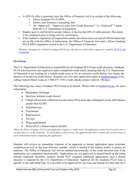- A GPLUS offer is generated once the Office of Financial Aid is in receipt of the following:
	- Direct Graduate PLUS MPN,
	- Direct Loan Entrance Counseling, and
	- An "Approved", "Approved After New Credit Decision" \* or "Endorsed" \* status from the U.S. Department of Education.
- Student goes to myFinAid to accept, reduce, or decline the GPLUS offer amount. This needs to be completed prior to being sent for certification.
- If the student is registered, all required documents have been received, and all official transcripts are on file with the Office of Admissions, the Office of Financial Aid sends a Direct Graduate PLUS MPN origination record to the U.S. Department of Education.

*\*Students who apply for a Federal Graduate PLUS loan with adverse credit will be required to complete [PLUS Credit](https://studentaid.gov/app/counselingInstructions.action?counselingType=plus)  [Counseling.](https://studentaid.gov/app/counselingInstructions.action?counselingType=plus)*

#### <span id="page-19-0"></span>**Decisions**

The U.S. Department of Education is responsible for all Graduate PLUS loan credit decisions. Graduate PLUS loan borrowers are required to pass a simplified credit check, meaning that the U.S. Department of Education is not looking for a certain credit score or for an extensive credit history, but simply the absence of an adverse credit history. Students can view their application status at [StudentAid.gov](https://studentaid.gov/mpn/) or by calling Federal Direct Loans at 1-800-557-7394. Credit checks remain valid for 180 days.

The following may cause a Graduate PLUS loan to be denied. Please refer to [StudentAid.gov](https://studentaid.gov/understand-aid/types/loans/plus/grad) for more information.

- Bankruptcy discharge
- Borrower initiated credit freeze†
- Charge off account, collection account and/or 90 or more days delinquent on any debt balance greater than \$2,085
- Defaulted loan
- **Foreclosure**
- Repossession
- Tax lien
- Wage garnishment
- Write-off of a federal student aid debt

*†Since the Direct Graduate PLUS Loan application requires a credit check, the application cannot be processed when a security freeze is on the credit file. To avoid delays in the process, the applicant must lift or remove the security freeze at each credit bureau before completing the application.*

Students will receive an immediate response of an approved or denied application upon electronic completion as well as the loan reference number, which is needed if the student wishes to pursue an endorser. The Office of Financial Aid will be notified electronically of the credit decision only if the application was completed electronically. Applications are not approved or denied based on the dollar amount requested; therefore, students should NOT complete additional applications once a denied decision is rendered by the U.S. Department of Education. Approval for the Graduate PLUS loan is specific to the individual loan. It is possible to be approved for one loan and denied at a later date for a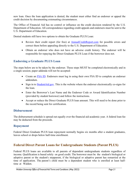new loan. Once the loan application is denied, the student must either find an endorser or appeal the credit decision by documenting extenuating circumstances.

The Office of Financial Aid has no control or influence on the credit decision rendered by the U.S. Department of Education. All correspondence regarding credit appeals and endorsers must be sent to the U.S. Department of Education.

Denied students still have two options to obtain the Graduate PLUS Loan:

- Review their credit report (for free) at [AnnualCreditReport.com](https://www.annualcreditreport.com/index.action) for possible errors and correct them before appealing directly to the U.S. Department of Education.
- Obtain an endorser who does not have an adverse credit history. The endorser will be responsible for repaying the Direct Graduate PLUS Loan if the borrower does not.

#### <span id="page-20-0"></span>**Endorsing a Graduate PLUS Loan**

The steps below are to be taken by the endorser. These steps MUST be completed electronically and in a single session; paper addenda will not be accepted:

- Create an **FSA ID**. Endorsers must log in using their own FSA ID to complete an endorser addendum.
- Sign in to **StudentAid.gov**. This is the website where the endorser electronically co-signs for the loan.
- Enter the Borrower's Last Name and the Endorser Code or Award Identification Number (provided by student borrower) and follow the instructions.
- Accept or reduce the Direct Graduate PLUS loan amount. This will need to be done prior to the record being sent for certification.

#### <span id="page-20-1"></span>**Disbursement**

The disbursement schedule is spread out equally over the financial aid academic year. A federal loan fee may be deducted from the proceeds.

#### <span id="page-20-2"></span>**Repayment**

Federal Direct Graduate PLUS loan repayment normally begins six months after a student graduates, leaves school or drops below half-time enrollment.

# <span id="page-20-3"></span>**Federal Direct Parent Loans for Undergraduate Students (Parent PLUS)**

Federal PLUS loans are available to all parents of dependent undergraduate students regardless of income. Qualification is based solely on good credit. The borrower must be the student's biological or adoptive parent or the student's stepparent, if the biological or adoptive parent has remarried at the time of application. The parent's child must be a dependent student who is enrolled at least halftime at Walden.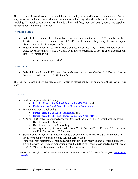There are no debt-to-income ratio guidelines or employment verification requirements. Parents may borrow up to the total education cost for the year, minus any other financial aid that the student is receiving. The total education cost can include tuition and fees, room and board, books and supplies, transportation, and living allowance.

#### <span id="page-21-0"></span>**Interest Rates**

- Federal Direct Parent PLUS loans first disbursed on or after July 1, 2020, and before July 1, 2021, have a fixed interest rate at 5.30%, with interest beginning to accrue upon disbursement until it is repaid in full.
- Federal Direct Parent PLUS loans first disbursed on or after July 1, 2021, and before July 1, 2022, have a fixed interest rate at 6.28%, with interest beginning to accrue upon disbursement until it is repaid in full.
	- o The interest rate cap is 10.5%.

#### <span id="page-21-1"></span>**Loan Fees**

• Federal Direct Parent PLUS loans first disbursed on or after October 1, 2020, and before October 1, 2022, have a 4.228% loan fee.

The loan fee is retained by the federal government to reduce the cost of supporting these low interest loans.

#### <span id="page-21-2"></span>**Process**

- Student completes the following:
	- [Free Application for Federal Student Aid \(FAFSA\),](https://studentaid.gov/h/apply-for-aid/fafsa) and
	- [Undergraduate Level Direct Loan Entrance Counseling.](https://studentaid.gov/app/counselingInstructions.action?counselingType=entrance)
- Parent completes the following:
	- [Direct Parent PLUS Loan Application,](https://studentaid.gov/plus-app/parent/landing) and
	- [Direct Parent PLUS Loan Master Promissory Note \(MPN\).](https://studentaid.gov/mpn/)
	- A Parent PLUS offer is generated once the Office of Financial Aid is in receipt of the following:
		- Direct Parent PLUS MPN
		- Direct Loan Entrance Counseling
		- An "Approved", "Approved After New Credit Decision"\* or "Endorsed"\* status from the U.S. Department of Education
- Student goes to myFinAid to accept, reduce, or decline the Parent PLUS offer amount. This needs to be completed prior to being sent for certification.
- If the student is registered, all required documents have been received, and all official transcripts are on file with the Office of Admissions, then the Office of Financial Aid sends a Direct Parent PLUS MPN origination record to the U.S. Department of Education.

<span id="page-21-3"></span>*\*Parents who apply for a Federal Parent PLUS loan with adverse credit will be required to complete [PLUS Credit](https://studentaid.gov/app/counselingInstructions.action?counselingType=plus)  [Counseling.](https://studentaid.gov/app/counselingInstructions.action?counselingType=plus)*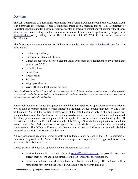#### **Decisions**

The U.S. Department of Education is responsible for all Parent PLUS loan credit decisions. Parent PLUS loan borrowers are required to pass a simplified credit check, meaning that the U.S. Department of Education is not looking for a certain credit score or for an extensive credit history but simply the absence of an adverse credit history. Students can view the status of their parents' application by logging in to [StudentAid.gov](https://studentaid.gov/mpn/) or by calling Federal Direct Loans at 1-800-557-7394. Credit checks remain valid for 180 days.

The following may cause a Parent PLUS loan to be denied. Please refer to **StudentAid.gov** for more information.

- Bankruptcy discharge
- Borrower initiated credit freeze†
- Charge off account, collection account and/or 90 or more days delinquent on any debt balance greater than \$2,085
- Defaulted loan
- Foreclosure
- Repossession
- Tax lien
- Wage garnishment
- Write-off of a federal student aid debt

*†Since the Direct Parent PLUS Loan application requires a credit check, the application cannot be processed when a security freeze is on the credit file. To avoid delays in the process, the applicant must lift or remove the security freeze at each credit bureau before completing the application.*

Parents will receive an immediate approval or denial of their application upon electronic completion as well as the loan reference number, which is needed if the parent wishes to pursue an endorser. The Office of Financial Aid will be notified electronically of the credit decision only if the application was completed electronically. Applications are not approved or denied based on the dollar amount requested; therefore, parents should not complete additional applications once a denial is rendered by the U.S. Department of Education. Credit decisions are held for 90 days. Once the loan application is denied, the parent must either find an endorser or appeal the credit decision by documenting extenuating circumstances. The Office of Financial Aid has no control over or influence on the credit decision rendered by the U.S. Department of Education.

All correspondence regarding credit appeals and endorsers must be sent to the U.S. Department of Education. Approval for the Parent PLUS loan is loan specific. It is possible to be approved for one loan and denied later for a new loan.

Denied parents still have two options to obtain the Parent PLUS Loan:

- Review their credit report (for free) at **AnnualCreditReport.com** for possible errors and correct them before appealing directly to the U.S. Department of Education.
- Obtain an endorser who does not have an adverse credit history. The endorser will be responsible for repaying the Direct PLUS Loan if the borrower does not.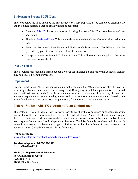#### <span id="page-23-0"></span>**Endorsing a Parent PLUS Loan**

The steps below are to be taken by the parent endorser. These steps MUST be completed electronically and in a single session; paper addenda will not be accepted:

- Create an [FSA ID.](https://studentaid.gov/fsa-id/create-account/launch) Endorsers must log in using their own FSA ID to complete an endorser addendum.
- Sign in to **StudentAid.gov**. This is the website where the endorser electronically co-signs the loan.
- Enter the Borrower's Last Name and Endorser Code or Award Identification Number (provided by parent borrower) and follow the instructions.
- Accept or reduce the Parent PLUS loan amount. This will need to be done prior to the record being sent for certification.

#### <span id="page-23-1"></span>**Disbursement**

The disbursement schedule is spread out equally over the financial aid academic year. A federal loan fee may be deducted from the proceeds.

#### <span id="page-23-2"></span>**Repayment**

Federal Direct Parent PLUS loan repayment normally begins within 60 calendar days after the loan has been fully disbursed, unless a deferment is requested. During any period that a payment is not required, interest will still accrue on the loan. In certain circumstances, parents may elect to repay the loan on a graduated repayment schedule, making interest-only payments (the minimum amount is based on the term of the loan and must be at least \$50 per month) for a portion of the repayment term.

# <span id="page-23-3"></span>**Federal Student Aid (FSA) Student Loan Ombudsman**

The Walden Office of Financial Aid is always ready to assist with any questions or concerns regarding student loans. If loan issues cannot be resolved, the Federal Student Aid (FSA) Ombudsman Group of the U.S. Department of Education is available to help student borrowers. An ombudsman resolves federal loan disputes from a neutral and independent viewpoint. The FSA Ombudsman Group will informally research a borrower's problem and suggest solutions to resolve the problem. Student borrowers can contact the FSA Ombudsman Group via the following:

**Online assistance:** <https://studentaid.gov/feedback-ombudsman/disputes/prepare>

**Toll-free telephone: 1-877-557-2575 Fax: 1-606-396-4821**

**Mail: U.S. Department of Education FSA Ombudsman Group P.O. Box 1843 Monticello, KY 42633**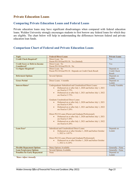# <span id="page-24-0"></span>**Private Education Loans**

#### <span id="page-24-1"></span>**Comparing Private Education Loans and Federal Loans**

Private education loans may have significant disadvantages when compared with federal education loans. Walden University strongly encourages students to first borrow any federal loans for which they are eligible. The chart below will help in understanding the differences between federal and private education loan funds.

#### <span id="page-24-2"></span>**Comparison Chart of Federal and Private Education Loans**

| <b>Topic</b>                          | <b>Federal Direct Loans</b>                                             | <b>Private Loans</b>    |
|---------------------------------------|-------------------------------------------------------------------------|-------------------------|
| <b>Credit Check Required?</b>         | Direct Loan: No                                                         | Yes                     |
|                                       | Parent PLUS/Grad PLUS: Yes (limited)                                    |                         |
| <b>Credit Score or Debt-to-Income</b> | Direct Loan: No                                                         | Yes                     |
| <b>Considered?</b>                    | Parent PLUS/Grad PLUS: No                                               |                         |
| <b>Co-Signer Required?</b>            | Direct Loan: No                                                         | Depends on              |
|                                       | Parent PLUS/Grad PLUS: Depends on Credit Check Result                   | <b>Credit Check</b>     |
|                                       |                                                                         | Result                  |
| <b>Deferment Options</b>              | <b>Several Options</b>                                                  | Depends on              |
|                                       |                                                                         | Lender                  |
| <b>Grace Period</b>                   | Direct Loans: 6 months                                                  | Depends on              |
|                                       |                                                                         | Lender                  |
| <b>Interest Rates*</b>                | Undergraduate Subsidized and Unsubsidized Direct Loans:                 | <b>Usually Variable</b> |
|                                       | Disbursed on or after July 1, 2020 and before July 1, 2021<br>$\bullet$ |                         |
|                                       | are fixed at 2.75%                                                      |                         |
|                                       | Disbursed on or after July 1, 2021 and before July 1, 2022              |                         |
|                                       | are fixed at $3.73\%$                                                   |                         |
|                                       |                                                                         |                         |
|                                       | <b>Graduate Unsubsidized Direct Loans:</b>                              |                         |
|                                       | Disbursed on or after July 1, 2020 and before July 1, 2021              |                         |
|                                       | are fixed at 4.30%                                                      |                         |
|                                       | Disbursed on or after July 1, 2021 and before July 1, 2022<br>$\bullet$ |                         |
|                                       | are fixed at 5.28%                                                      |                         |
|                                       |                                                                         |                         |
|                                       | Direct PLUS Loans (Parent and Graduate/Professional):                   |                         |
|                                       | Disbursed on or after July 1, 2020 and before July 1, 2021<br>$\bullet$ |                         |
|                                       | are fixed at 5.30%                                                      |                         |
|                                       | Disbursed on or after July 1, 2021 and before July 1, 2022<br>$\bullet$ |                         |
|                                       | are fixed at 6.28%                                                      |                         |
|                                       |                                                                         |                         |
| <b>Loan Fees*</b>                     | Subsidized and Unsubsidized Direct Loans:                               | Depends on              |
|                                       | Disbursed on or after October 1, 2020 and before October<br>$\bullet$   | Lender                  |
|                                       | 1, 2022 is 1.057%                                                       |                         |
|                                       |                                                                         |                         |
|                                       | Direct PLUS Loans (Parent and Graduate/Professional):                   |                         |
|                                       | Disbursed on or after October 1, 2020 and before October<br>$\bullet$   |                         |
|                                       | 1, 2022 is 4.228%                                                       |                         |
|                                       |                                                                         |                         |
| <b>Flexible Repayment Options</b>     | <b>Many Options Available</b>                                           | Generally - None        |
| <b>Loan Forgiveness Options</b>       | <b>Several Options Available</b>                                        | Generally - None        |
| <b>Penalties for Early Repayment</b>  | None                                                                    | Depends on              |
|                                       |                                                                         | Lender                  |

<span id="page-24-3"></span>*\*Rates Adjust Annually*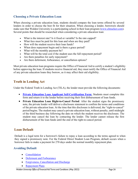#### **Choosing a Private Education Loan**

When choosing a private education loan, students should compare the loan terms offered by several lenders in order to choose the best fit for their situation. When choosing a lender, borrowers should make sure that Walden University is a participating school in their loan program [\(www.elmselect.com\)](http://www.elmselect.com/). Several points that should be researched when considering a private education loan:

- What is the interest rate? Is it fixed or variable? Is the rate capped?
- What fees must be paid for this loan and when are they paid?
- How will the student receive their loan funds?
- When does repayment begin and is there a grace period?
- What will the monthly payment be?
- What will be the total cost if the student uses the full repayment period?
- Are there penalties for early repayment?
- Are there deferment, forbearance, or cancellation options?

Most private education loan programs require the Office of Financial Aid to certify a student's eligibility before approving the loan. If students receive financial aid, they must notify the Office of Financial Aid of any private education loans they borrow, as it may affect their aid eligibility.

# <span id="page-25-0"></span>**Truth in Lending Act**

Under the Federal Truth in Lending Act (TILA), the lender must provide the following documents:

- **[Private Education Loan Applicant Self-Certification Form:](https://finaid.waldenu.edu/NetPartnerStudent/PgHome.aspx)** Students must complete this form and return it to the lender before receiving their first disbursement of loan funds.
- **Private Education Loan Right-to-Cancel Period**: After the student signs the promissory note, the private lender will deliver a disclosure statement to confirm the terms and conditions of the private education loan. At the time that this disclosure is delivered, the "right-to-cancel" period begins. The student may cancel a private education loan, without penalty, until midnight of the third business day following the date on which the student receives the disclosure. The student may cancel the loan by contacting the lender. The lender cannot release the first disbursement of the loan funds until the end of the right-to-cancel period.

# <span id="page-25-1"></span>**Loan Default**

Default is a legal term for a borrower's failure to repay a loan according to the terms agreed to when they signed a promissory note. For the Federal Direct Student Loan Program, default occurs when a borrower fails to make a payment for 270 days under the normal monthly repayment plan.

#### <span id="page-25-2"></span>**Avoiding Default**

- [Consolidation](https://studentaid.gov/manage-loans/consolidation)
- [Deferment and Forbearance](https://studentaid.gov/manage-loans/lower-payments/get-temporary-relief)
- [Forgiveness, Cancellation and Discharge](https://studentaid.gov/manage-loans/forgiveness-cancellation)
- [Repayment Plans](https://studentaid.gov/manage-loans/repayment/plans)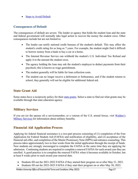• [Steps to Avoid Default](https://studentaid.gov/manage-loans/default/avoid)

#### <span id="page-26-0"></span>**Consequences of Default**

The consequences of default are severe. The lender or agency that holds the student loan and the state and federal government will normally take legal action to recover the money the student owes. Other consequences include but are not limited to:

- The lender can notify national credit bureaus of the student's default. This may affect the student's credit rating for as long as 7 years. For example, the student might find it difficult to borrow money from a bank to buy a car or a home.
- The Internal Revenue Service can withhold the student's U.S. Individual Tax Refund and apply it to the amount the student owes.
- The agency holding the loan may ask the student's employer to deduct payments from their paycheck; this is known as wage garnishment.
- The student generally will be liable for loan collection costs.
- The student can no longer receive a deferment or forbearance, and if the student returns to school, they generally will not be eligible for additional federal aid.

# <span id="page-26-1"></span>**State Grant Aid**

Some states have a reciprocity policy for their [state grants.](https://www.nasfaa.org/State_Financial_Aid_Programs) Select a state to find out what grants may be available through that state education agency.

# <span id="page-26-2"></span>**Military Services**

If you are (or the spouse of) a servicemember, or a veteran of the U.S. armed forces, visit [Walden's](https://academicguides.waldenu.edu/military-services)  [Military Services](https://academicguides.waldenu.edu/military-services) for information about military benefits.

# <span id="page-26-3"></span>**Financial Aid Application Process**

Applying for federal financial assistance is a two-part process consisting of (1) completion of the Free Application for Federal Student Aid (FAFSA) and notification of eligibility, and (2) acceptance of the financial aid offer, and completion of the Master Promissory Note (MPN) and entrance counseling. This process takes approximately two to four weeks from the initial application through the receipt of funds. New students are strongly encouraged to complete the FAFSA at the same time they are applying for admission. Continuing students are required to complete a renewal FAFSA for each award year they are enrolled. A good practice is to complete the renewal FAFSA when it becomes available in October, but at least 8 weeks prior to each award year renewal date.

- Students fill out the 2021-2022 FAFSA if they started their program on or after May 31, 2021.
- Students fill out the 2022-2023 FAFSA if they start their program on or after May 30, 2022.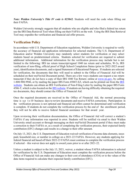*Note: Walden University's Title IV code is 025042.* Students will need the code when filling out their FAFSA.

Walden University strongly suggests that all students who are eligible and who filed a federal tax return use the IRS Data Retrieval Tool when filling out their FAFSA on the web. Using the IRS Data Retrieval Tool may expedite the verification and financial aid offer process.

# <span id="page-27-0"></span>**Verification Policy**

In accordance with U.S. Department of Education regulations, Walden University is required to verify the accuracy of financial aid application information for selected students. The U.S. Department of Education and/or Walden University may randomly select students for verification or may select students based on predetermined criteria. Students selected for verification are required to submit additional information. Additional information for the verification process may include but is not limited to the following: IRS tax return transcript/signed 1040 tax return and schedules, W-2s, IRS verification of non-filing, official proof of High School Completion Status (prior to 2022-2023 award year), identification documents, and a signed Statement of Educational Purpose. If students are selected for verification, the documents that they will need to submit to the Office of Financial Aid will be scheduled on their myFinAid Document portal. There are a few ways students can request a tax return transcript if they do not have a copy of their IRS 1040 Tax Return: online at [www.irs.gov,](https://www.irs.gov/) by calling 1-800-908-9946, or by mailing the paper [IRS](https://www.irs.gov/forms-instructions) Form 4506T-EZ, which can be printed out from the IRS [website.](https://www.irs.gov/forms-instructions) Students can obtain an IRS Verification of Non-Filing Letter by mailing the paper IRS Form 4506-T, which is also located on th[e IRS website.](https://www.irs.gov/forms-instructions) If students are having difficulty obtaining the required tax documents, they should contact the Office of Financial Aid.

Once the required documents are received in the Office of Financial Aid, the normal processing time is up to 10 business days to review documents and receive FAFSA corrections. Participation in the verification process is not optional and financial aid offers cannot be determined until verification is complete. If students do not complete the verification process by the end of the enrollment period, they will not be able to receive federal financial assistance for that award year.

Upon reviewing their verification documentation, the Office of Financial Aid will correct a student's FAFSA if any information was reported in error. Students will be notified via email to their Walden University email account or through messaging on their myFinAid Document portal if they must make a correction to their FAFSA or, as a result of completing the verification process, their expected family contribution (EFC) changes and results in a change to their offer amount.

On July 13, 2021, the U.S. Department of Education waived verification of income data elements, taxes paid, household size, or number in college on a 2021-22 FAFSA. However, any students applying for federal financial aid based off their 2022-23 FAFSA must continue to complete the verification process if selected – this waiver does not apply to award years prior to or after 2021-22.

Unless a student is subject to the July 13, 2021, waiver, a student whose FAFSA information is selected for verification by the U.S. Department of Education must complete the verification process before the Office of Financial Aid can make any changes to their cost of attendance (COA) or to the values of the data items required to calculate their expected family contribution (EFC).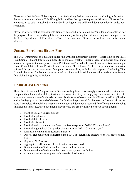Please note that Walden University must, per federal regulations, review any conflicting information that may impact a student's Title IV eligibility and has the right to request verification of income data elements, taxes paid, household size, number in college or any additional documentation if needed for resolution.

Please be aware that if students intentionally misreport information and/or alter documentation for the purpose of increasing aid eligibility or fraudulently obtaining federal funds, they will be reported to the U.S. Department of Education Office of the Inspector General or to local law enforcement officials.

# <span id="page-28-0"></span>**Unusual Enrollment History Flag**

The U.S. Department of Education added the Unusual Enrollment History (UEH) Flag to the ISIR (Institutional Student Information Record) to indicate whether students have an unusual enrollment history in regard to the receipt of Federal Pell Grant and/or Federal Direct Loan funds (not including a Direct Consolidation Loan, Perkins Loan or a Parent PLUS loan). The U.S. Department of Education enforced this process to determine if recipients were enrolling with the sole purpose of collecting Title IV credit balances. Students may be required to submit additional documentation to determine federal financial aid eligibility at Walden.

#### <span id="page-28-1"></span>**Financial Aid Deadlines**

The Office of Financial Aid processes offers on a rolling basis. It is strongly recommended that students complete their Financial Aid Application at the same time they are applying for admission or 8 weeks prior to the renewal date of their existing loan. Students must have a complete Financial Aid Application within 30 days prior to the end of the term for funds to be processed for that term or financial aid award year. A complete Financial Aid Application includes all documents required for offering and disbursing financial aid funds. Required documents may include but are not limited to the following items:

- Proof of Social Security number
- Proof of legal name
- Proof of date of birth
- Proof of citizenship
- Proof of registration with the Selective Service (prior to 2021-2022 award year)
- Proof of High School Completion Status (prior to 2022-2023 award year)
- Identity/Statement of Educational Purpose
- Official IRS tax return transcript/signed 1040 tax return and schedules or IRS proof of nonfiling
- Copies of W-2 forms
- Aggregate Reaffirmation of Debt Letter from loan holder
- Documentation of federal student loan default resolution
- Documentation of federal student grant overpayment resolution
- Academic records from previously attended institutions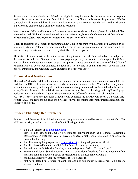Students must also maintain all federal aid eligibility requirements for the entire term or payment period. If at any time during the financial aid process conflicting information is presented, Walden University will request additional documentation to resolve the conflict. Walden will hold all financial aid offers and disbursements until the conflict is resolved

**New students:** Offer notifications will be sent to admitted students with completed financial aid files via email to their Walden University email account. *However, financial aid cannot be disbursed until all required official transcripts are received by the Office of Admissions.*

**Current students**: If a student is beginning a new Walden program within a term or payment period after completing a Walden program, financial aid for the new program cannot be disbursed until the student's degree/certificate is conferred by the Office of the Registrar.

The Office of Financial Aid will continue to accept applications, provide financial aid offers, and process disbursements in the last 30 days of the term or payment period, but cannot be held responsible if funds are not able to disburse for the term or payment period. Delays outside of the control of the Office of Financial Aid can occur. For example, a student may not be able to obtain third-party documentation, official transcripts, and Graduate PLUS endorsers in a timely manner.

# <span id="page-29-0"></span>**Financial Aid Notifications**

The myFinAid Web portal is the source for financial aid information for students who complete the FAFSA. The Office of Financial Aid will notify the student via email to their Walden University email account when updates, including offer notifications and changes, are made to financial aid information on myFinAid; however, financial aid recipients are responsible for checking their myFinAid page periodically for any updates. Students should contact the Office of Financial Aid via telephone 1-800- 925-3368 if they have any questions. Students who complete the FAFSA will receive a Student Aid Report (SAR). Students should **read the SAR** carefully as it contains **important** information about the student's eligibility.

# <span id="page-29-1"></span>**Student Eligibility Requirements**

To receive aid from any of the federal student aid programs administered by Walden University's Office of Financial Aid, a student must meet all of the following criteria:

- Be a U.S. citizen or [eligible noncitizen;](https://studentaid.gov/understand-aid/eligibility/requirements/non-us-citizens)
- Have a high school diploma or a recognized equivalent such as a General Educational Development (GED) certificate, or have completed a high school education in an approved homeschool setting;
- Enroll in an eligible program as a [regular student](https://studentaid.gov/help-center/answers/topic/glossary/search/regular%20student) seeking a degree or certificate;
- Enroll at least half-time to be eligible for Direct Loan program funds;
- Be registered with Selective Service, if required (prior to 2021-2022 award year);
- Have a valid Social Security number (with the exception of students from the Republic of the Marshall Islands, Federated States of Micronesia, or the Republic of Palau);
- Maintain satisfactory academic progress (SAP) standards;
- Not be in default on a federal student loan and not owe money (overpayment) on a federal student grant; and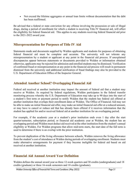• Not exceed the lifetime aggregates or annual loan limits without documentation that the debt has been reaffirmed.

Be advised that a federal or state conviction for any offense involving the possession or sale of illegal drugs, during a period of enrollment for which a student is receiving Title IV financial aid, will affect the eligibility for federal financial aid. This applies to any students receiving federal financial aid prior to the 2021-2022 award year.

#### **Misrepresentation for Purposes of Title IV Aid**

Statements made and documents supplied by Walden applicants and students for purposes of obtaining federal financial aid must be complete and accurate. The university will not tolerate any misrepresentation by a student or applicant at any point in the financial aid process. If unexplained discrepancies appear between statements or documents provided to Walden or information obtained otherwise, applicants may be rejected for admission and enrolled students may be dismissed. Verification of confirmed fraud or misrepresentation at any point in the financial aid process will result in permanent dismissal from the university and additional notification of fraud findings may also be provided to the U.S. Department of Education Office of the Inspector General.

# <span id="page-30-0"></span>**Attended Another School? Overlapping Financial Aid**

Federal aid received at another institution may impact the amount of federal aid that a student may receive at Walden. As required by federal regulations, Walden participates in the federal transfer monitoring process whereby the U.S. Department of Education may take up to 90 days into the start of a student's first term or payment period to notify Walden that the student has federal aid offered at another institution that overlaps their enrollment dates at Walden. The Office of Financial Aid may not be able to make an initial financial aid offer, may make an initial financial aid offer at a reduced amount, or may have to cancel or reduce aid that has already been offered if it receives information that the student has applied for and/or received federal aid at another institution for an overlapping period.

For example, if the academic year at a student's prior institution ends even 1 day after the start quarter/semester, subscription period, or financial aid academic year at Walden, the student has an overlapping period and Walden must deduct aid received at the other institution from the student's annual eligibility at Walden. For Walden programs that allow mid-term starts, the start date of the full term is used to determine if there is an overlap with the prior institution.

To prevent duplication of the living allowance between schools, Walden removes the living allowance from the student's cost of attendance at Walden during periods of overlapping enrollment. Students must make alternative arrangements for payment if they become ineligible for federal aid based on aid received at another institution.

# <span id="page-30-1"></span>**Financial Aid Annual Award Year Definition**

Walden defines the annual award year as three 12-week quarters and 30 credits (undergraduate) and 18 credits (graduate) or three 16-week semesters and 18 credits (graduate).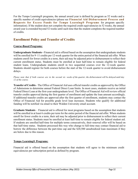For the Tempo Learning® programs, the annual award year is defined by program as 52 weeks and a specific number of credit equivalencies (please see **Financial Aid Disbursement Process and Requests for Excess Funds for Tempo Learning® Programs** for program specific information). If the student does not complete the required credit equivalencies in 52 weeks, the annual award year is extended beyond 52 weeks until such time that the student completes the required number of credits.

# <span id="page-31-0"></span>**Enrollment Policy and Transfer of Credits**

#### **Course-Based Programs:**

**Undergraduate Students -** Financial aid is offered based on the assumption that undergraduate students will be enrolled for 9–11 credits per 12-week quarter for the entire period of the financial aid offer. When students enroll for fewer credits in a term, their aid may be adjusted prior to disbursement to reflect their current enrollment status. Students must be enrolled at least half-time to remain eligible for federal student loans. Undergraduate students enroll in two sequential courses over the 12-week quarter. Students should register for both courses before the start of the 12-week quarter to avoid disbursement delays.

*Please note that if both courses are in the second six weeks of the quarter, the disbursement will be delayed until day 12 of the course.*

**Transfer of Credits** - The Office of Financial Aid uses official transfer credits as approved by the Office of Admissions to determine annual Federal Direct Loan limits. In most cases, students receive an initial Federal Direct Loan at the first-year undergraduate level. The Office of Financial Aid will review official transfer credits approved during the first quarter of enrollment and update the loan amount accordingly. If additional transfer credits are approved after the first quarter of enrollment, students may contact the Office of Financial Aid for possible grade level loan increases. Students who qualify for additional funding will be notified via email to their Walden University email account.

**Graduate Students** – Financial aid is offered for most programs based on the assumption that students will be enrolled in at least 6 credits per term for the entire period of the financial aid offer. When students enroll for fewer credits in a term, their aid may be adjusted prior to disbursement to reflect their current enrollment status. Students must be enrolled at least half-time to remain eligible for federal student aid. If students are enrolled half-time for multiple terms consecutively, their renewal offer will be based on that half-time status. Students processed this way who change to full-time may contact financial aid to borrow the difference between the part-time cap and the \$20,500 unsubsidized loan maximum if they are below due to this reason.

#### **Tempo Learning® Programs:**

Financial aid is offered based on the assumption that students will agree to the minimum credit equivalencies per subscription period as defined by program.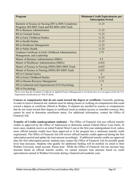| Program                                                                                             | <b>Minimum Credit Equivalencies per</b><br><b>Subscription Period</b> |
|-----------------------------------------------------------------------------------------------------|-----------------------------------------------------------------------|
| Bachelor of Science in Nursing (RN to BSN Completion<br>Program): RN-BSN Track and RN-BSN-AIM Track | 11.25                                                                 |
| <b>BS</b> in Business Administration                                                                | 11.25                                                                 |
| <b>BS</b> in Criminal Justice                                                                       | 11.25                                                                 |
| <b>BS</b> in Early Childhood Studies                                                                | 11.25                                                                 |
| <b>BS</b> in Health Studies                                                                         | 11.25                                                                 |
| <b>BS</b> in Healthcare Management                                                                  | 11.25                                                                 |
| <b>BS</b> in Public Health                                                                          | 11.25                                                                 |
| Graduate Certificate in Early Childhood Administration,<br>Management, and Leadership               | 3.75                                                                  |
| Master of Business Administration (MBA)                                                             | 4.5                                                                   |
| Master of Healthcare Administration (MHA)                                                           | 6.625                                                                 |
| Master of Science in Nursing (MSN) BSN-MSN Track                                                    | 6.625                                                                 |
| Master of Science in Nursing (MSN) RN-MSN Track                                                     | 6.625                                                                 |
| MS in Criminal Justice                                                                              | 6                                                                     |
| MS in Early Childhood Studies                                                                       | 4.125                                                                 |
| MS in Human Resource Management                                                                     | 3.75                                                                  |
| MS in Industrial and Organizational (I/O) Psychology                                                | 6                                                                     |
| MS in Psychology                                                                                    | 6                                                                     |

*Please note that the Graduate Certificate in Applied Project Management is not listed since it is not approved by the U.S. Department of Education for Title IV funds.*

**Courses or competencies that do not count toward the degree or certificate:** Generally speaking, in order to receive financial aid, students must be taking classes or working on competencies that count toward a degree or certificate offered at Walden. If students are enrolled in courses or competencies that do not count toward their degree or certificate (such as student success or remedial courses), they cannot be used to determine enrollment status. For additional information, contact the Office of Financial Aid.

**Transfer of Credits (undergraduate students)** - The Office of Financial Aid uses official transfer credits as approved by the Office of Admissions to determine annual Federal Direct Loan limits. In most cases, students receive an initial Federal Direct Loan at the first-year undergraduate level, unless more official transfer credits have been approved or if the program has a minimum transfer credit requirement. The Office of Financial Aid will review official transfer credits approved during the first subscription period and update the loan amount accordingly. If additional transfer credits are approved after the first subscription period, students may contact the Office of Financial Aid for possible grade level loan increases. Students who qualify for additional funding will be notified via email to their Walden University email account. Please note: While the Office of Financial Aid can increase loan amounts based on official transfer credits, we cannot increase loan amounts based on credit equivalencies earned at Walden University during a financial aid academic year.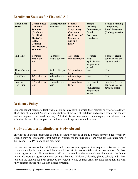# <span id="page-33-0"></span>**Enrollment Statuses for Financial Aid**

| <b>Enrollment</b><br><b>Status</b> | <b>Course-Based</b><br><b>Graduate</b><br><b>Students</b><br>(Graduate<br>Certificate,<br>Master's,<br><b>Ed.S.,</b><br>Doctoral,<br><b>Post-Doctoral</b> )<br><b>Students</b> | <b>Undergraduate</b><br><b>Students</b> | <b>Students</b><br>enrolled in<br><b>Preparatory</b><br><b>Courses for</b><br>the Master of<br><b>Science in</b><br><b>Nursing</b><br>(MSN) | <b>Tempo</b><br>Learning<br>Competency-<br><b>Based</b><br><b>Programs</b><br>(Graduate) | <b>Tempo Learning</b><br>Competency-<br><b>Based Programs</b><br>(Undergraduate) |
|------------------------------------|--------------------------------------------------------------------------------------------------------------------------------------------------------------------------------|-----------------------------------------|---------------------------------------------------------------------------------------------------------------------------------------------|------------------------------------------------------------------------------------------|----------------------------------------------------------------------------------|
| <b>Full Time</b>                   | 6 or more<br>credits per<br>term                                                                                                                                               | 12 or more<br>credits per term          | 12 or more<br>credits per term                                                                                                              | 3 or more<br>credit<br>equivalencies<br>per payment<br>period                            | 6 or more credit<br>equivalencies per<br>payment period                          |
| Three-Quarter<br>Time              | N/A                                                                                                                                                                            | 9-11 credits per<br>term                | 9-11 credits per<br>term                                                                                                                    | N/A                                                                                      | N/A                                                                              |
| Half-Time                          | 3-5 credits per<br>term                                                                                                                                                        | 6-8 credits per<br>term                 | 6-8 credits per<br>term                                                                                                                     | N/A                                                                                      | N/A                                                                              |
| Less than<br>Half-Time             | 1-2 credits per<br>term                                                                                                                                                        | 1-5 credits per<br>term                 | 1-5 credits per<br>term                                                                                                                     | Less than 3<br>credit<br>equivalencies<br>per payment<br>period                          | Less than 6 credit<br>equivalencies per<br>payment period                        |

# <span id="page-33-1"></span>**Residency Policy**

Students cannot receive federal financial aid for any term in which they register only for a residency. The Office of Financial Aid reviews registrations at the start of each term and cancels federal aid for any students registered for residency only. All students are responsible for managing their student loan refunds to be sure they can pay for residency travel expenses when they arise.

# <span id="page-33-2"></span>**Study at Another Institution or Study Abroad**

Enrollment in certain programs of study at another school or study abroad approved for credit by Walden may be considered enrollment at Walden for the purpose of applying for assistance under the Federal Title IV financial aid programs.

For students to access federal financial aid, a consortium agreement is required between the two schools whereby the home school disburses federal aid for courses taken at the host school. The host school agrees not to disburse federal aid and to monitor the student's enrollment for the home school. Consortium agreements may be made between Walden University (home school) and a host school if the student has been approved by Walden to take coursework at the host institution that will fully transfer toward the Walden degree program.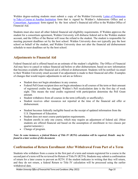Walden degree-seeking students must submit a copy of the Walden University [Letter of Permission](https://academicguides.waldenu.edu/forms)  [to Take a Course at Another Institution](https://academicguides.waldenu.edu/forms) form that is signed by Walden's Admissions Office and a [Consortium](https://waldenu.edu.verifymyfafsa.com/) Agreement form signed by the host school's financial aid office to the Walden Office of Financial Aid*.*

Students must also meet all other federal financial aid eligibility requirements. If Walden approves the student for a consortium agreement, Walden University will disburse federal aid to the Walden student account, and the Office of the Bursar will issue the refund to the student. The student is responsible for meeting payment deadlines set by the host school. Walden University does not typically pay the host school on behalf of the student, and Walden University does not alter the financial aid disbursement schedule to meet deadlines set by the host school.

# <span id="page-34-0"></span>**Adjustments to Financial Aid**

Federal financial aid is offered based on an estimate of the student's eligibility. The Office of Financial Aid may have to cancel or reduce financial aid before or after disbursement, based on new information that becomes available after financial aid is offered or disbursement. Students will be notified via email to their Walden University email account if an adjustment is made to their financial aid offer. Examples of changes that would require adjustments to aid are as follows:

- Student does not begin attendance in any courses.
- Federal Pell Grant recipient does not begin attendance in all courses of the term or their amount of registered credits has changed. Walden's Pell recalculation date is the first day of week eight. This means the total credits registered with participation determine the Pell Grant amount.
- Student withdraws from all courses in the term (officially or unofficially).
- Student receives other resources not reported at the time of the financial aid offer or disbursement.
- Student becomes federally ineligible based on the receipt of updated information from the U.S. Department of Education.
- Student does not meet course participation requirements.
- Student enrolls in only one course, which may require an adjustment of federal aid. (Most students are offered financial aid based on the assumption of enrollment in two classes per quarter/semester.)
- Change of program.

Note: In some instances, a federal Return of Title IV (R2T4) calculation will be required. Details may be *found in a later section of this document.*

# <span id="page-34-1"></span>**Confirmation of Return Enrollment After Withdrawal From Part of a Term**

Students who withdraw from a course in the first part of a term and remain registered for a course in the second part of a term will be reviewed for Return of Title IV (R2T4). Students may submit a confirmation of return for a later course to prevent an R2T4. If the student indicates in writing that they will return, and they do not return, a federal Return to Title IV calculation will be processed using the earlier withdrawal date.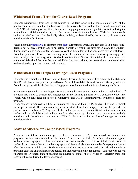# <span id="page-35-0"></span>**Withdrawal From a Term for Course-Based Programs**

Students withdrawing from any or all courses in the term prior to the completion of 60% of the quarter/semester may find that funds are owed to the university as a result of the required Return of Title IV (R2T4) calculation process. Students who stop engaging in academically related activities during the term without officially withdrawing from the courses are subject to the Return of Title IV calculation. In such cases, the last date of academically related activity, as determined by the university, is used as the withdrawal date for the term.

Please note that [withdrawal](http://www.waldenu.edu/financial-aid/resources/glossary#Withdrawal) is different from [drop.](http://www.waldenu.edu/financial-aid/resources/glossary#Drop) Dropping is when a student enrolls in a course and decides not to stay enrolled any time before it starts or within the first seven days. If a student discontinuestaking a course after the seventh day, then the student will be considered having withdrawn from that point on. Prior to withdrawing from all courses in the term or ceasing to engage in academically related activity, students should contact the Office of Financial Aid to determine the amount of federal aid that must be returned. Federal student aid may not cover all unpaid charges due to the university upon the student's withdrawal.

#### <span id="page-35-1"></span>**Withdrawal From Tempo Learning® Based Programs**

Students who officially withdraw from the Tempo Learning® program will be subject to the Return to Title IV calculation on a payment period basis. The withdrawal date for students who officially withdraw from the program will be the last date of engagement as documented within the learning platform.

Student engagement in the learning platform is continually tracked and monitored on a weekly basis. If a student has failed to demonstrate engagement in the learning platform for 30 consecutive days, the student will be considered an unofficial withdrawal and will be administratively withdrawn from the program.

Every student is required to submit a Customized Learning Plan (CLP) by day 14 of each 3-month subscription period. This submission signifies the start of academic engagement for the period. If a student does not submit a CLP by day 14, the student is considered an unofficial withdrawal, and the student will be administratively withdrawn from the university. Students who are administratively withdrawn will be subject to the return of Title IV funds using the last date of engagement as the withdrawal date.

#### <span id="page-35-2"></span>**Leave of Absence for Course-Based Programs**

A student who takes a university approved leave of absence (LOA) is considered, for financial aid purposes, to have withdrawn from the school. The Return to Title IV refund calculation applies to both university approved leaves of absence and withdrawals for recipients of Title IV aid. When a student loan borrower begins a university approved leave of absence, the student's repayment begins after the grace period is over. Students are advised that once a grace period is utilized, there is no provision allowing an additional grace period, and students will go into repayment. Students with federal financial aid or federal loan obligations are advised to contact their servicer to ascertain their loan repayment status during the leave of absence.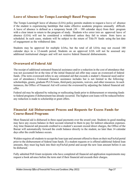#### <span id="page-36-0"></span>**Leave of Absence for Tempo Learning® Based Programs**

The Tempo Learning® leave of absence (LOA) policy permits students to request a leave of absence if the student is experiencing hardships that make effective academic progress unusually difficult. A leave of absence is defined as a temporary break  $(30 - 180)$  calendar days) from their program with a clear intent to return to the program of study. Students who enter into an approved leave of absence (LOA) will not be considered a withdrawal unless they fail to return from leave as scheduled. In such cases, students will be subject to the return of Title IV funds using the last date of engagement as the withdrawal date.

Students may be approved for multiple LOAs, but the total of all LOAs may not exceed 180 calendar days in a 12-month period. Students on an approved LOA will not be assessed any additional institutional charges and will not receive federal financial disbursements.

# <span id="page-36-1"></span>**Overaward of Federal Aid**

The receipt of additional estimated financial assistance and/or a reduction in the cost of attendance that was not accounted for at the time of the initial financial aid offer may cause an overaward of federal funds. (The term overaward refers to any estimated aid that exceeds a student's financial need and/or cost of attendance.) Estimated financial assistance includes but is not limited to the following: scholarships, grants, graduate PLUS loans, third-party payments, waivers, and other resources. In such instances, the Office of Financial Aid will correct the overaward by adjusting the federal financial aid offer.

Federal aid may be adjusted by reducing or reallocating funds prior to disbursement or returning funds to federal programs if disbursement has already occurred. The highest cost loans will be reduced before any reduction is made to scholarship or grant offers.

# <span id="page-36-2"></span>**Financial Aid Disbursement Process and Requests for Excess Funds for Course-Based Programs**

Most financial aid is disbursed in three equal payments over the award year. Students in good standing may have any excess balance in their account returned to them to pay for indirect education expenses. Any time financial aid proceeds credited to a student's account exceed direct charges, the Office of the Bursar will automatically forward the credit balance directly to the student, no later than 14 calendar days after the credit balance occurs.

Walden requires all students to accept the loan type and amount offered to them on their myFinAid portal prior to the disbursement of federal loan funds. If a student requests or is offered additional federal loan amounts, they must log back into their myFinAid portal and accept the new loan amount before it can be disbursed.

Fully admitted Pell Grant recipients who have completed all financial aid application requirements may request a book advance before the term start if their financial aid exceeds their charges.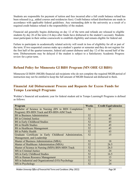Students are responsible for payment of tuition and fees incurred after a full credit balance refund has been released (e.g., added courses and residencies fees). Credit balance refund distributions are made in accordance with applicable federal guidelines. Any outstanding debt to the university as a result of a required credit balance refund is the responsibility of the student.

Financial aid generally begins disbursing on day 12 of the term and refunds are released to eligible students by day 26 of the term (14 days after funds have disbursed to the student's account). Students must participate in their online coursework to establish eligibility and remain eligible for federal aid.

Failure to participate in academically related activity will result in loss of eligibility for all or part of the term. If two sequential courses make up a student's quarter or semester and they do not register for the first half of the quarter/semester, federal aid cannot disburse until day 12 of the second half of the term. Disbursements may be delayed if the student is subject to a Satisfactory Academic Progress review for a prior term.

# <span id="page-37-0"></span>**Refund Policy for Minnesota GI Bill® Program (MN OHE GI Bill®)**

Minnesota GI Bill® (MGIB) financial aid recipients who do not complete the required MGIB period of instruction may not be entitled to keep the full amount of MGIB financial aid disbursed to them.

#### <span id="page-37-1"></span>**Financial Aid Disbursement Process and Requests for Excess Funds for Tempo Learning® Programs**

Walden's financial aid academic year for federal student aid in Tempo Learning® Programs is defined as follows:

| Program                                                 | <b>Weeks</b> | <b>Credit Equivalencies</b> |
|---------------------------------------------------------|--------------|-----------------------------|
| Bachelor of Science in Nursing (RN to BSN Completion    | 52           | 45                          |
| Program): RN-BSN Track and RN-BSN-AIM Track             |              |                             |
| <b>BS</b> in Business Administration                    | 52           | 45                          |
| <b>BS</b> in Criminal Justice                           | 52           | 45                          |
| <b>BS</b> in Early Childhood Studies                    | 52           | 45                          |
| <b>BS</b> in Health Studies                             | 52           | 45                          |
| <b>BS</b> in Healthcare Management                      | 52           | 45                          |
| <b>BS</b> in Public Health                              | 52           | 45                          |
| Graduate Certificate in Early Childhood Administration, |              | 15                          |
| Management, and Leadership                              |              |                             |
| Master of Business Administration (MBA)                 | 52           | 18                          |
| Master of Healthcare Administration (MHA)               | 52           | 26.5                        |
| Master of Science in Nursing (MSN) BSN-MSN Track        | 52           | 26.5                        |
| MS in Criminal Justice                                  | 52           | 24                          |
| MS in Early Childhood Studies                           | 52           | 16.5                        |
| MS in Human Resource Management                         | 52           | 15                          |
| MS in Industrial and Organizational (I/O) Psychology    | 52           | 24                          |
| MS in Psychology                                        | 52           | 24                          |

*Walden University Office of Financial Aid Terms and Conditions (May 2022) Page 38*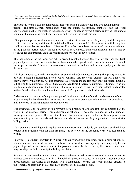*Please note that the Graduate Certificate in Applied Project Management is not listed since it is not approved by the U.S. Department of Education for Title IV funds.*

The academic year is also the loan period. The loan period is then divided into two equal payment periods. The first payment period ends when the student successfully completes half the credit equivalencies and half the weeks in the academic year. The second payment period ends when the student completes the remaining credit equivalencies and weeks in the academic year.

If the payment period weeks have elapsed and the student has not successfully completed the required credit equivalencies, additional financial aid will not be reviewed for disbursement until the required credit equivalencies are completed. Likewise, if a student completes the required credit equivalencies in the payment period before the required weeks have elapsed, additional financial aid will not be reviewed for disbursement until the required number of weeks have elapsed.

The loan amount for the loan period is divided equally between the two payment periods. Each payment period is then broken into two disbursements designed to align with the student's 3-month subscription periods. Therefore, in most cases, financial aid is disbursed in four equal payments over the award year.

All disbursements require that the student has submitted a Customized Learning Plan (CLP) by day 14 of each 3-month subscription period which confirms that they will attempt the full-time credit equivalency for that period. All disbursements also require the student must meet all federal financial aid eligibility requirements and all Satisfactory Academic Progress requirements. Students who are eligible for disbursements at the beginning of a subscription period will have their federal funds posted to their Walden student account after the 2-week CLP / agree-to-credits deadline date.

Disbursements at the start of the payment period (with the exception of the first disbursement of the program) require that the student has earned half the semester credit equivalencies and has completed half the weeks in their financial aid academic year.

Disbursements at the midpoint of the payment period require that the student has completed half the weeks in the payment period. This disbursement schedule is designed to align with the student's subscription billing period. It is important to note that a student's pace or transfer from a prior school may result in payment periods and disbursement dates that do not fully align with the subscription billing periods.

If the student's remaining credit equivalencies at the start of an academic year are less than the defined credits in an academic year for their program, it is possible for the academic year to be less than 52 weeks.

Likewise, if a student transfers to Walden with an overlapping enrollment from a prior school, this could also result in an academic year to be less than 52 weeks. Consequently, there may only be one payment period or one disbursement in the payment period. In these cases, the disbursement dates may not align with the subscription billing due dates.

Students in good standing may have any excess balance in their account returned to them to pay for indirect education expenses. Any time financial aid proceeds credited to a student's account exceed direct charges, the Office of the Bursar will automatically forward the credit balance directly to the student, no later than 14 calendar days after the credit balance occurs.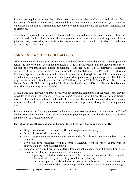Students are required to accept their offered loan amounts on their myFinAid portal prior to funds disbursing. If a student requests or is offered additional loan amounts within the award year, they must log back into their myFinAid portal and accept the new loan amount before the additional loan funds can be disbursed.

Students are responsible for payment of tuition and fees incurred after a full credit balance refund has been released. Credit balance refund distributions are made in accordance with applicable federal guidelines. Any outstanding debt to the university as a result of a required credit balance refund is the responsibility of the student.

# <span id="page-39-0"></span>**Federal Return of Title IV (R2T4) Funds**

When a recipient of Title IV grant or loan funds withdraws from an institution during a term or payment period, the university must determine the amount of Title IV grant or loan funds the student earned as of the student's withdrawal date. Federal regulations established by the U.S. Department of Education require the Office of Financial Aid to apply a formula, entitled Return to Title IV (R2T4), to determine the percentage of federal financial aid a student has earned up through the last date of academically related activity in any or all courses or competencies during the term or payment period. The Title IV programs included in this policy are the Federal Pell Grant, Federal TEACH Grant, Federal Direct Loan, Federal Direct PLUS Loan, Iraq and Afghanistan Service Grant (IASG), and Federal Supplemental Educational Opportunity Grant (FSEOG).

Course-based students who withdraw, drop, or do not otherwise complete all of the courses that they are scheduled to attend in the term and Tempo Learning® students who withdraw officially or unofficially, may have disbursed funds returned to the federal government. This includes students who stop engaging in academically related activities in any or all courses or competencies during the term or payment period.

Students withdrawing from any course(s) in the term or competencies prior to the completion of 60% of the days scheduled to attend in the quarter/semester or payment period may find that funds are owed to the university as a result of the R2T4.

#### **The following enrollment changes in Course-Based Programs that may trigger an R2T4:**

- Drop or withdrawal to zero credits (official through university policy).
- Official Leave of Absence during the term.
- Lack of engagement in academically related activities for at least 14 consecutive days or more in a term.
- For consecutive enrollment within a term, withdrawal from an earlier course with no confirmation of return in a later course.
- For consecutive enrollment within a term, dropping, not attending, or withdrawing from a later course, even after the completion of an earlier course.
	- $\circ$  Beginning for withdrawal dates of July 1, 2021, or later, students are excluded from this withdrawal rule if they successfully complete the following:
		- earn a passing grade in the earlier course or combination of courses greater than or equal to half-time enrollment (3 credits graduate, 6 credits undergraduate);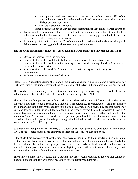- earn a passing grade in courses that when alone or combined contain 49% of the days in the term, excluding scheduled breaks of 5 or more consecutive days and all days between courses; or
- **n** meet graduation requirements.

Note: Students do not qualify for these exemptions if they fail the earlier course(s).

- For consecutive enrollment within a term, failure to participate in more than 60% of the days scheduled to attend in the term, along with failure to earn a passing grade in the last course in the term, even after passing an earlier course.
- Failure to participate in more than 60% of the days scheduled to attend in the term along with failure to earn a passing grade in all courses attempted in the term.

#### **The following enrollment changes in Tempo Learning® Programs that may trigger an R2T4:**

- Official withdrawal from the program.
- Administrative withdrawal due to lack of participation for 30 consecutive days. Administrative withdrawal for not submitting a Customized Learning Plan (CLP) by day 14 of the subscription period.
- Administrative withdrawal for failure to meet the satisfactory academic progress requirements.
- Failure to return from a Leave of Absence.

Please Note: Graduating during the financial aid payment period is not considered a withdrawal for R2T4 even though the student may not have completed all of the days in the financial aid payment period.

The last date of academically related activity, as determined by the university, is used as the financial aid withdrawal date to determine the completion percentage for R2T4.

The calculation of the percentage of federal financial aid earned includes all financial aid disbursed or that which could have been disbursed to a student. This percentage is calculated by taking the number of calendar days completed by the student in the term or payment period divided by the total number of calendar days the student is scheduled to attend in the term or payment period (scheduled breaks of 5 consecutive days or more are excluded from the calculation). The percentage is then multiplied by the amount of Title IV financial aid awarded in the payment period to determine the amount earned. If the federal aid disbursed is greater than the percentage of federal aid earned, the difference must be returned to the appropriate Title IV program.

Students who complete more than 60% of the term or payment period are considered to have earned 100% of the federal financial aid disbursed to them for the term or payment period.

If the student did not receive all of the funds that were earned prior to their last day of participation, a post-withdrawal disbursement may be due. If the post-withdrawal disbursement includes loan funds that did not disburse, the student must give permission before the funds can be disbursed. Students will be notified of their post-withdrawal disbursement eligibility via email to their Walden University email account within 30 days of the withdrawal determination date.

There may be some Title IV funds that a student may have been scheduled to receive that cannot be disbursed once the student withdraws because of other eligibility requirements.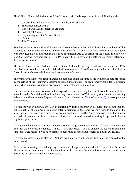The Office of Financial Aid returns federal financial aid funds to programs in the following order:

- 1. Unsubsidized Direct Loans (other than Direct PLUS Loans)
- 2. Subsidized Direct Loans
- 3. Direct PLUS Loans (parent or graduate)
- 4. Federal Pell Grants
- 5. Iraq and Afghanistan Service Grant
- 6. FSEOG
- 7. TEACH Grants

Regulations require the Office of Financial Aid to complete a student's R2T4 calculation and return Title IV funds as soon as possible but no later than 45 days after the date the university determines the student withdrew. Regulations also require the Office of Financial Aid to determine if the student is eligible for a post-withdrawal disbursement of Title IV funds within 30 days of the date the university determines the student withdrew.

The student will be notified via email to their Walden University email account when the R2T4 calculation is completed and what federal aid was returned. In addition, any student that had federal Direct Loans disbursed will be sent exit counseling information.

The withdrawal date for federal financial aid purposes is not the same as the withdrawal date processed by the Office of the Registrar to determine tuition adjustments. The requirements for Title IV program funds when a student withdraws are separate from Walden's refund policy.

Federal student aid may not cover all charges due to the university that result from the return of funds upon the student's withdrawal, and students may owe a balance to Walden. Any student with a remaining balance should log in to the Payment Gateway [\(course based a](https://payments.waldenu.edu/portal/#/banner)nd [Tempo Learning®\)](https://payments.waldenu.edu/portal/#/tempo) to make payment arrangements.

If a student who withdraws, officially or unofficially, from a program with courses that do not span the entire length of the quarter or semester, later participates in the same program prior to the end of the term, they will be treated as if they did not cease attendance. If an R2T4 was processed, it will be undone and federal financial aid funds that were returned will be re-disbursed according to applicable federal eligibility guidelines.

If a student who withdraws from a Tempo Learning® program reenters within 180 days, they are treated as if they did not cease attendance. If an R2T4 was processed, it will be undone and federal financial aid funds that were returned will be re-disbursed according to applicable federal eligibility guidelines.

If a student ceases to attend after an R2T4 has been undone, a subsequent R2T4 may be required for the same period.

Prior to withdrawing or making any enrollment changes, students should contact the Office of Financial Aid to determine if the change will result in a return of funds and to understand the financial options to get back on track for future terms.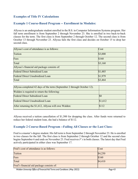#### <span id="page-42-0"></span>**Examples of Title IV Calculations**

#### <span id="page-42-1"></span>**Example 1 Course-Based Program -- Enrollment in Modules:**

Allyssa is an undergraduate student enrolled in the B.S. in Computer Information Systems program. Her fall term enrollment is from September 2 through November 23. She is enrolled in two back-to-back classes for the term. The first class is from September 2 through October 12. The second class is from October 13 through November 23. Allyssa fails the first class and decides on October 15 to drop her second class.

| Allyssa's cost of attendance is as follows:  | Cost    |
|----------------------------------------------|---------|
| Tuition                                      | \$3,000 |
| Fees                                         | \$160   |
| Total                                        | \$3,160 |
| Allyssa's financial aid package consists of: |         |
| <b>Federal Direct Subsidized Loan</b>        | \$1,485 |
| <b>Federal Direct Unsubsidized Loan</b>      | \$1,979 |
| Total                                        | \$3,464 |

| Allyssa completed 42 days of the term (September 2 through October 12). |         |
|-------------------------------------------------------------------------|---------|
| Walden is required to return the following:                             |         |
| <b>Federal Direct Subsidized Loan</b>                                   | ISC.    |
| <b>Federal Direct Unsubsidized Loan</b>                                 | \$1,612 |
| After returning the \$1,612, Allyssa will owe Walden:                   | \$112   |

Allyssa received a tuition cancellation of \$1,500 for dropping the class. After funds were returned to reduce her federal student loan, she had a balance of \$112.

#### <span id="page-42-2"></span>**Example 2 Course-Based Program --Failing All Classes or the Last Class:**

Fred is a master's degree student. His fall term is from September 2 through November 23. He is enrolled in two classes for the fall. The first class is from September 2 through October 12 and the second class begins September 6 and ends on November 23. Fred receives *F's* in both classes. The latest day that Fred actively participated in either class was September 17.

| Cost    |
|---------|
| \$4,250 |
| \$160   |
| \$4,410 |
|         |
|         |

*Walden University Office of Financial Aid Terms and Conditions (May 2022) Page 43*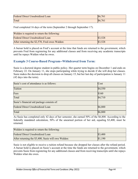| <b>Federal Direct Unsubsidized Loan</b> | \$6,761 |
|-----------------------------------------|---------|
| Total                                   | \$6,761 |

Fred completed 16 days of the term (September 2 through September 17).

| Walden is required to return the following:    |         |
|------------------------------------------------|---------|
| <b>Federal Direct Unsubsidized Loan</b>        | \$3,528 |
| After returning the \$2,570, Fred owes Walden: | \$3,528 |

A bursar hold is placed on Fred's account at the time that funds are returned to the government, which prevents Fred from registering for any additional classes and from receiving any academic transcripts until he repays Walden what he owes.

#### <span id="page-43-0"></span>**Example 3 Course-Based Program--Withdrawal from Term:**

Susie is a doctoral degree student in public policy. Her quarter term begins on December 1 and ends on February 22. On January 11, she stops participating while trying to decide if she will drop her classes. Susie makes the decision to drop all classes on January 15, but her last day of participation is January 11 (42 days into the term).

| Susie's cost of attendance is as follows:  | Cost    |
|--------------------------------------------|---------|
| Tuition                                    | \$4,550 |
| Fees                                       | \$160   |
| Total                                      | \$4,710 |
| Susie's financial aid package consists of: |         |
| <b>Federal Direct Unsubsidized Loan</b>    | \$6,800 |
| Total                                      | \$6,800 |

As Susie has completed only 42 days of her semester, she earned 50% of the \$6,800. According to the federally mandated calculation, 50% of the unearned portion of her aid, equaling \$3,400, must be returned.

| Walden is required to return the following:         |         |
|-----------------------------------------------------|---------|
| Federal Direct Unsubsidized Loan                    | \$3,400 |
| After returning the \$3,400, Susie will owe Walden: | \$1,190 |

Susie is not eligible to receive a tuition refund because she dropped her classes after the refund period. A bursar hold is placed on Susie's account at the time the funds are returned to the government, which prevents Susie from registering for any additional classes and from receiving transcripts until she repays Walden what she owes.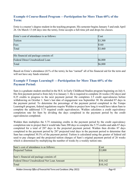#### <span id="page-44-0"></span>**Example 4 Course-Based Program —Participation for More Than 60% of the Term:**

Ernie is a master's degree student in the teaching program. His semester begins January 5 and ends April 26. On March 13 (68 days into the term), Ernie accepts a full-time job and drops his classes.

| Ernie's cost of attendance is as follows: | Cost    |
|-------------------------------------------|---------|
| Tuition                                   | \$3,300 |
| Fees                                      | \$160   |
| Total                                     | \$3,460 |
|                                           |         |
| His financial aid package consists of:    |         |
| <b>Federal Direct Unsubsidized Loan</b>   | \$6,800 |
| Total                                     | \$6,800 |

Based on Ernie's attendance (61% of the term), he has "earned" all of his financial aid for the term and will not have any funds returned.

#### <span id="page-44-1"></span>**Example 5 Tempo Learning® —Participation for More Than 60% of the Payment Period:**

Sam is a graduate student enrolled in the M.S. in Early Childhood Studies program beginning on July 6. His first payment period is from July 6 to January 3. He is required to complete 26 weeks (182 days) and 8.25 credits to progress to the next payment period. He completes 2.5 credit equivalencies before withdrawing on October 1. Sam's last date of engagement was September 30. He attended 87 days in the payment period. To determine the percentage of the payment period completed in the Tempo Learning® program, federal regulations require Walden to project how long it would have taken Sam to complete the additional 5.75 required credit equivalencies. Walden calculates a credit equivalency completion rate for Sam by dividing the days completed in the payment period by the credit equivalencies completed.

Walden then multiplies the 5.75 remaining credits in the payment period by the credit equivalency completion rate to project that it would take Sam 200 days to complete the 5.75 credits and adds 87 days completed for a total of 287 days in the projected payment period. Walden then divides 87 days completed in the payment period by 287 projected total days in the payment period to determine that Sam has completed 30.3% of the payment period. Tuition is calculated using the greater of federal aid used to pay charges and the projected tuition charges of Sam's original payment period of 26 weeks which is determined by multiplying the number of weeks by a weekly tuition rate.

| Sam's cost of attendance is as follows:            | Cost     |
|----------------------------------------------------|----------|
| <b>Projected Tuition</b>                           | \$3,000  |
|                                                    |          |
| Sam's financial aid package consists of:           |          |
| <b>Federal Direct Unsubsidized Net Loan Amount</b> | \$10,142 |
| Total                                              | \$10,142 |

*Walden University Office of Financial Aid Terms and Conditions (May 2022) Page 45*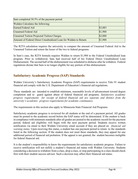| Sam completed 30.3% of the payment period                       |         |
|-----------------------------------------------------------------|---------|
| Walden Calculates the following:                                |         |
| Earned Federal Aid                                              | \$3,083 |
| <b>Unearned Federal Aid</b>                                     | \$1,988 |
| <b>Unearned Tuition Projected Tuition Charges</b>               | \$2,088 |
| Amount of Federal Direct Unsubsidized Loan for Walden to Return | \$1,988 |

The R2T4 calculation requires the university to compare the amount of Unearned Federal Aid to the Unearned Tuition and return the lesser of the two to federal programs.

In Sam's case, the R2T4 formula requires Walden to return \$1,988 to the Federal Unsubsidized loan program. Prior to withdrawal, Sam had received half of his Federal Direct Unsubsidized Loan Disbursement. The second half of the disbursement was scheduled to disburse after he withdrew. Federal regulations dictate that Sam is no longer eligible for any portion of this disbursement.

# <span id="page-45-0"></span>**Satisfactory Academic Progress (SAP) Standards**

Walden University's Satisfactory Academic Progress (SAP) requirements to receive Title IV student financial aid comply with the U.S. Department of Education's financial aid regulations.

These standards are intended to establish minimum, reasonable levels of advancement toward degree completion and to guard against abuse of federal financial aid programs. *Satisfactory academic progress requirements for receipt of federal financial aid are separate and distinct from the university's academic progress requirements for academic continuance.*

The requirements in this section also apply to Minnesota State Financial Aid Programs.

Satisfactory academic progress is reviewed for all students at the end of a payment period. All grades must be posted to the academic record before the SAP status will be determined. If the student is back in compliance with minimum standards after all grades are posted to the academic record for the payment period, federal aid eligibility will begin with the next payment period. Students receive written notification via email to their Walden University email account if they are placed on *financial aid warning status*. Upon receiving this status, a student has one payment period to return to the standards listed in the following section. If the student does not meet these standards, they may appeal for one additional period of financial aid probation. If the appeal is not granted, the student becomes ineligible for federal financial aid.

It is the student's responsibility to know the requirements for satisfactory academic progress. Failure to receive notification will not nullify a student's financial aid status with Walden University. Students considering a decision to withdraw from a class, drop a class, or stop participating in a class should check first with their student success advisor. Such a decision may affect their financial aid status.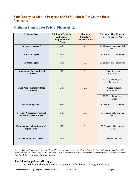# <span id="page-46-0"></span>**Satisfactory Academic Progress (SAP) Standards for Course-Based Programs**

<span id="page-46-1"></span>

| <b>Program Type</b>                                            | <b>Minimum Financial</b><br><b>Aid Course</b><br><b>Completion Rate</b><br>(Pace) | <b>Minimum</b><br><b>Cumulative</b><br><b>Financial Aid GPA</b> | <b>Maximum Time Frame to</b><br><b>Receive Federal Aid</b> |
|----------------------------------------------------------------|-----------------------------------------------------------------------------------|-----------------------------------------------------------------|------------------------------------------------------------|
| <b>Bachelor's Degree *</b>                                     | 67%                                                                               | 2.0                                                             | 272 financial aid attempted<br>credits                     |
| <b>Master's Degree</b>                                         | 67%                                                                               | 3.0                                                             | 20 quarters or 15 semesters                                |
| <b>Doctoral Degree</b>                                         | 67%                                                                               | 3.0                                                             | 32 quarters or 24 semesters                                |
| <b>Stand Alone Quarter-Based</b><br><b>Certificates</b>        | 67%                                                                               | 3.0                                                             | 1-29 credit program<br>8 quarters                          |
|                                                                |                                                                                   |                                                                 | 30-45 credit program<br>12 quarters                        |
| <b>Stand Alone Semester-Based</b><br><b>Certificates</b>       | 67%                                                                               | 3.0                                                             | 1-19 credit program<br>6 semesters                         |
|                                                                |                                                                                   |                                                                 | 20-30 credit program<br>9 semesters                        |
| <b>Education Specialist</b>                                    | 67%                                                                               | 3.0                                                             | 20 quarters or 15 semesters                                |
| <b>Teacher Preparation (without</b><br>master's degree option) | 67%                                                                               | 3.0                                                             | 56 financial aid attempted<br>credits                      |
| <b>Endorsement (without master's</b><br>degree option)         | 67%                                                                               | 3.0                                                             | 32 financial aid attempted<br>credits                      |
| <b>Preparatory Coursework</b>                                  | 67%                                                                               | 2.0                                                             | 12 consecutive months                                      |

*\*Some Walden bachelor's programs have GPA requirements that are higher than 2.0. The minimum financial aid GPA requirement will be the same as the university GPA requirement for those programs. Please refer to the Walden Student Handbook for the program GPA requirements.*

#### **The following policies will apply:**

• Minimum financial aid GPA is cumulative for the current program of study.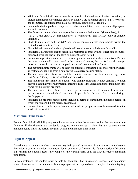- Minimum financial aid course completion rate is calculated, using bankers rounding, by dividing financial aid completed credits by financial aid attempted credits (e.g., if 40 credits are attempted, the student must have successfully completed 27 credits).
- Financial aid attempted and completed credits are cumulative for all courses in all programs attempted at Walden.
- The following grades adversely impact the course completion rate: *I* (incomplete), *F* (fail), *NC* (no credit), *U* (unsatisfactory), *W* (withdrawal), and *XF/XU* (code of conduct violation).
- Students must meet both the GPA and course completion rate requirements within the defined maximum time frame.
- Financial aid attempted and completed credit requirements include transfer credits.
- Financial aid attempted credits include all registered courses with the exception of courses dropped before the start of the term or during the drop period.
- For course repetitions, only the most recent grade is counted in the cumulative GPA and the most recent credits are counted in the completed credits; the credits from all attempts must be counted in the course completion rate and maximum time frame.
- The maximum time frame will be reset for students completing a second or further degree at Walden or changing from a non-degree to a degree seeking status.
- The maximum time frame will not be reset for students that have earned degrees or certificates "Along the Way" at Walden University.
- The maximum time frame for students who change programs without earning a Walden degree is cumulative for all programs attempted and is measured against the maximum time frame for the current program.
- The maximum time frame excludes quarters/semesters of non-enrollment and quarters/semesters in which all courses are dropped before the start of the term or during the drop period.
- Financial aid progress requirements include all terms of enrollment, including periods in which the student did not receive federal aid.
- Courses that adversely impact financial aid academic progress cannot be removed from the academic transcript.

# <span id="page-47-0"></span>**Maximum Time Frame**

Federal financial aid eligibility expires without warning when the student reaches the maximum time frame or if the financial aid academic progress review makes it clear that the student cannot mathematically finish the current program within the maximum time frame.

# <span id="page-47-1"></span>**Right to Appeal**

Occasionally, a student's academic progress may be impacted by unusual circumstances that are beyond the student's control. A student may appeal for an extension of financial aid if after a period of financial aid warning the student successfully completes the warning term, or if the student reaches maximum time frame.

In both instances, the student must be able to document that unexpected, unusual, and temporary circumstances affected the student's ability to progress at the required rate. Examples of such mitigating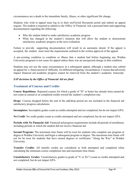circumstances are a death in the immediate family, illness, or other significant life change.

Students who wish to appeal must log in to their myFinAid Document portal and submit an appeal request. The student is required to submit to the Office of Financial Aid a personal letter and supporting documentation regarding the following:

- Why the student failed to make satisfactory academic progress
- What has changed in the student's situation that will allow the student to demonstrate satisfactory academic progress at the next evaluation

Failure to provide supporting documentation will result in an automatic denial. If the appeal is accepted, the student must meet the requirements outlined in the written approval of the appeal.

A pre-existing condition (a condition or illness that a student had before beginning any Walden University program) is not cause for appeal unless there was an unexpected change in that condition.

Students may not use the same circumstances in a subsequent appeal, although a student may submit an appeal for a future period of difficulty for different mitigating circumstances. Courses that adversely impact financial aid academic progress cannot be removed from the student's academic transcript.

#### <span id="page-48-0"></span>*SAP decisions by the Office of Financial Aid are final.*

#### **Treatment of Courses and Credits**

**Course Repetitions**: Repeated courses for which a grade of "D" or better has already been earned do not count as earned or as completed credits toward the student's completion rate.

**Drops**: Courses dropped before the end of the add/drop period are not included in the financial aid satisfactory progress calculations.

**Incompletes**: Incomplete grades count as credits attempted and not completed, but do not impact GPA.

**No Credit**: No credit grades count as credits attempted and not completed, but do not impact GPA.

**Periods with No Financial Aid**: Financial aid progress requirements include all periods of enrollment, including periods in which the student did not receive financial aid.

**Second Program:** The maximum time frame will be reset for students who complete one program or degree at Walden University and begin a subsequent program or degree. The maximum time frame will not for be reset for students that have earned degrees or certificates "Along the Way" at Walden University.

**Transfer Credits**: All transfer credits are considered as both attempted and completed when calculating the minimum course completion rate and maximum time frame.

**Unsatisfactory Grades**: Unsatisfactory grades (a grade of "U or XU") count as credits attempted and not completed, but do not impact GPA.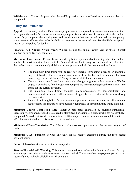**Withdrawals**: Courses dropped after the add/drop periods are considered to be attempted but not completed.

#### <span id="page-49-0"></span>**Policy and Definitions**

**Appeal**: Occasionally, a student's academic progress may be impacted by unusual circumstances that are beyond the student's control. A student may appeal for an extension of financial aid if the student successfully completes the warning term and can document that unexpected, unusual, and temporary circumstances affected the student's ability to progress at the required rate. See the Right to Appeal section of this policy for details.

**Financial Aid Annual Award Year:** Walden defines the annual award year as three 12-week quarters or three 16-week semesters.

**Maximum Time Frame**: Federal financial aid eligibility expires without warning when the student reaches the maximum time frame or if the financial aid academic progress review makes it clear that the student cannot mathematically finish the current program within the maximum time frame.

- The maximum time frame will be reset for students completing a second or additional degree at Walden. The maximum time frame will not for be reset for students that have earned degrees or certificates "Along the Way" at Walden University.
- The maximum time frame for students who change programs without earning a Walden degree is cumulative for all programs attempted and is measured against the maximum time frame for the current program.
- The maximum time frame excludes quarters/semesters of non-enrollment and quarters/semesters in which all courses are dropped before the start of the term or during the drop period.
- Financial aid eligibility for an academic program ceases as soon as all academic requirements for graduation have been met regardless of maximum time frame standing.

**Minimum Course Completion Rate (Pace)**: A percentage calculated by dividing cumulative successfully completed credits by total credits attempted. For example, a student who has successfully completed 27 credits at Walden out of a total of 40 attempted credits has a course completion rate of 67%. This rate includes credits transferred in to Walden.

**Minimum GPA—Cumulative**: The GPA for all coursework pertaining to the current program of study.

**Minimum GPA—Payment Period**: The GPA for all courses attempted during the most recent payment period.

**Period of Enrollment**: One semester or one quarter.

**Status—Financial Aid Warning**: This status is assigned to a student who fails to make satisfactory academic progress during their most recent payment period. The student has one payment period to be successful and maintain eligibility for financial aid.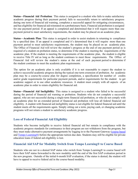**Status—Financial Aid Probation**: This status is assigned to a student who fails to make satisfactory academic progress during their payment period, fails to successfully return to satisfactory progress during one term of financial aid warning, completes a successful appeal for mitigating circumstances, and has eligibility for financial aid reinstated on a probationary basis. Financial aid probation is assigned for one payment period. If an appeal is completed and determined that it will require more than one payment period to meet satisfactory requirements, the student may be placed on an academic plan.

**Status—Academic Plan**: This status is assigned in order to assist students in returning to compliance by a specified date. If an appeal is completed and it's determined that it will require more than one payment period to meet satisfactory requirements, the student may be placed on an academic plan. The Office of Financial Aid will review the student's progress at the end of one payment period as is required of a student on probation status, to determine if the student is meeting the requirements of the academic plan. If the student is meeting the requirements of the academic plan, the student is eligible to receive Title IV aid as long as the student continues to meet those requirements. The Office of Financial Aid will review the student's status at the end of each payment period to determine if the student continues to meet the academic plan requirements.

The option for an academic plan is only available if it is not reasonable to expect the student to achieve successful academic progress during the typical one-term extension of probation. An academic plan may be a course-by-course plan for degree completion, a specification for number of credits and/or grade requirements for particular payment periods, and/or requirements for the student to get academic support or to use other academic resources. A student must comply with all aspects of an academic plan in order to retain eligibility for financial aid.

**Status—Financial Aid Ineligibility**: This status is assigned to a student who failed to be successful during the period of financial aid warning or probation. Students who do not complete a successful appeal, who are not successful during a single-term financial aid probation, or who do not comply with an academic plan for an extended period of financial aid probation will lose all federal financial aid eligibility. A student with financial aid ineligibility status is not eligible for federal financial aid until the student meets all the requirements again. Simply sitting out a term, paying cash, or changing academic programs will not return a student to satisfactory academic progress.

# <span id="page-50-0"></span>**Loss of Federal Financial Aid Eligibility**

Students who become ineligible to receive federal financial aid but remain in compliance with the academic progress standards for continuance in their program are not withdrawn from the program, but they must make alternative payment arrangements by logging in to the Payment Gateway (course based and [Tempo Learning®\)](https://payments.waldenu.edu/portal/#/tempo) before the appropriate tuition due date. Students may still be eligible for private education loans if federal aid eligibility is lost.

# <span id="page-50-1"></span>**Financial Aid SAP for Modality Switch from Tempo Learning® to Course Based**

Students who are not in a denied SAP status who switch from Tempo Learning® to course based will have their SAP status forwarded to the new modality until the end of the first SAP evaluation period in the new program. Outside of the initial 6-month SAP evaluation, if the status is denied, the student will have to appeal to receive federal aid in the course-based modality.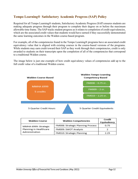# <span id="page-51-0"></span>**Tempo Learning® Satisfactory Academic Progress (SAP) Policy**

Required for all Tempo Learning® students, Satisfactory Academic Progress (SAP) ensures students are making adequate progress through their program to complete their degree on or before the maximum allowable time frame. The SAP tracks student progress as it relates to completion of credit equivalencies, which are the associated credit values that students would have earned if they successfully demonstrated the same learning outcomes in the Walden course-based program.

For example, all of the competencies found in the Tempo Learning® programs have an associated credit equivalency value that is aligned with existing courses in the course-based versions of the programs. While students may earn credit toward their SAP as they work through their competencies, credit is only awarded to students on their transcripts upon the completion of all of the competencies that correspond to a traditional Walden course.

The image below is just one example of how credit equivalency values of competencies add up to the full credit value of a traditional Walden course.



| <b>Walden Course</b>   | <b>Walden Competencies</b>        | Credit<br>Equivalency |
|------------------------|-----------------------------------|-----------------------|
| MMHA 6999: Strategic   | FM008: Strategic Planning Process | 0.75                  |
| Planning in Healthcare | FM009: SWOT Analysis              |                       |
| Administration         | FM010: Strategic Planning         | 2.25                  |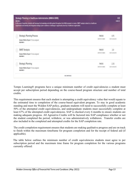| Strategic Planning in Healthcare Administration (MMHA 6999)<br><b>BADUIN A</b><br>In this area of expertise, students will leverage the knowledge and skills gained throughout their MHA program to create a SWOT analysis related to a healthcare<br>organization and develop and integrated strategic plan to address a challenge or opportunity faced by a healthcare organization. |                          | 0/3<br><b>COMPLETE</b> |  |
|----------------------------------------------------------------------------------------------------------------------------------------------------------------------------------------------------------------------------------------------------------------------------------------------------------------------------------------------------------------------------------------|--------------------------|------------------------|--|
| <b>Strategic Planning Process</b>                                                                                                                                                                                                                                                                                                                                                      | <b>FM008</b>             | 0.75                   |  |
| Subject Matter Expert To be assigned<br><b>READ MORE w</b>                                                                                                                                                                                                                                                                                                                             | CONFETINCY MARIER        | CALCUT # DOPAIN ENTI   |  |
| <b>SWOT Analysis</b>                                                                                                                                                                                                                                                                                                                                                                   | 306230<br>FM009          | 2.0                    |  |
| Subject Matter Expert To be assigned<br><b>BEAD MORE +</b>                                                                                                                                                                                                                                                                                                                             | CONFERINCY MUNICE        | CREW LOUNGENT          |  |
| Strategic Planning                                                                                                                                                                                                                                                                                                                                                                     | <b>FM010</b>             | 2.25                   |  |
| Subject Matter Expert To be assigned<br>READ MORE W                                                                                                                                                                                                                                                                                                                                    | <b>CONFETENCY MUNIER</b> | CREDIT EQUIVALENTS     |  |
| HOE COMPETENCIES                                                                                                                                                                                                                                                                                                                                                                       |                          |                        |  |

Tempo Learning® programs have a unique minimum number of credit equivalencies a student must accept per subscription period depending on the course-based program structure and number of total credits.

This requirement ensures that each student is attempting a credit equivalency value that would equate to the estimated time to completion of the course-based equivalent program. To stay in good academic standing and meet the Walden SAP policy, graduate students will need to successfully complete at least 50% of the attempted credit equivalencies, and undergraduate students must successfully complete at least 67% of the attempted credit equivalencies. SAP is checked every 6 months to ensure students are making adequate progress. All Agreed-to Credits will be factored into SAP compliance whether or not the student completed the period, withdrew, or was administratively withdrawn. Transfer credits are also included in the completed and attempted credits for the SAP completion rate.

The credit completion requirement ensures that students are making qualitative progress and are on track to finish within the maximum timeframe for program completion and for the receipt of federal aid (if applicable).

The table below outlines the minimum number of credit equivalencies students must agree to per subscription period and the maximum time frame for program completion for the various programs currently offered: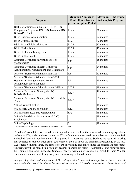| Program                                                                                                        | <b>Minimum Number of</b><br><b>Credit Equivalencies</b><br>per Subscription Period | <b>Maximum Time Frame</b><br>to Complete Program |
|----------------------------------------------------------------------------------------------------------------|------------------------------------------------------------------------------------|--------------------------------------------------|
| Bachelor of Science in Nursing (RN to BSN<br>Completion Program): RN-BSN Track and RN-<br><b>BSN-AIM Track</b> | 11.25                                                                              | 36 months                                        |
| <b>BS</b> in Business Administration                                                                           | 11.25                                                                              | 72 months                                        |
| <b>BS</b> in Criminal Justice                                                                                  | 11.25                                                                              | 72 months                                        |
| BS in Early Childhood Studies                                                                                  | 11.25                                                                              | 72 months                                        |
| <b>BS</b> in Health Studies                                                                                    | 11.25                                                                              | 72 months                                        |
| <b>BS</b> in Healthcare Management                                                                             | 11.25                                                                              | 72 months                                        |
| <b>BS</b> in Public Health                                                                                     | 11.25                                                                              | 72 months                                        |
| Graduate Certificate in Applied Project<br>Management*                                                         | 3.75                                                                               | 18 months                                        |
| Graduate Certificate in Early Childhood<br>Administration, Management, and Leadership                          | 3.75                                                                               | 24 months                                        |
| Master of Business Administration (MBA)                                                                        | 4.5                                                                                | 42 months                                        |
| Master of Business Administration (MBA):<br>Healthcare Management and Project<br>Management specializations    | 4.5                                                                                | 48 months                                        |
| Master of Healthcare Administration (MHA)                                                                      | 6.625                                                                              | 48 months                                        |
| Master of Science in Nursing (MSN)<br><b>BSN-MSN Track</b>                                                     | 6.625                                                                              | 48 months                                        |
| Master of Science in Nursing (MSN) RN-MSN<br>Track                                                             | 6.625                                                                              | 85 months                                        |
| MS in Criminal Justice                                                                                         | 6                                                                                  | 48 months                                        |
| MS in Early Childhood Studies                                                                                  | 4.125                                                                              | 48 months                                        |
| MS in Human Resource Management                                                                                | 3.75                                                                               | 48 months                                        |
| MS in Industrial and Organizational (I/O)<br>Psychology                                                        | 6                                                                                  | 48 months                                        |
| MS in Psychology                                                                                               | 6                                                                                  | 48 months                                        |

*\*Program not approved by the U.S. Department of Education for Title IV funds*

If students' completion of earned credit equivalencies is below the benchmark percentage (graduate students =  $50\%$ , undergraduate students =  $67\%$ ) of their attempted credit equivalencies at the time SAP is checked (every 6 months), they will be placed in a "warning" status. Students are required to bring their completion rate of earned credit equivalencies up to or above the benchmark percentage by the next SAP check, 6 months later. Students who are on warning and fail to meet the benchmark percentage requirement will be placed in a "denied" federal financial aid status (if applicable) and removed from the Tempo Learning® modality. Students receive written notification via email to their Walden University email account if they are placed on warning or denied status.

*Example: A graduate student agrees to 14.25 credit equivalencies over a 6-month period. At the end of the 6 month evaluation period, the student has successfully completed 8.5 credit equivalencies. Student is in good*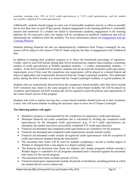*academic standing since 50% of 14.25 credit equivalencies is 7.125 credit equivalencies, and the student successfully completed 8.5 credit equivalencies.*

Additionally, students should engage in some sort of measurable academic activity as often as possible but no less than once in each 30-day period. Student engagement in the learning platform is continually tracked and monitored. If a student has failed to demonstrate academic engagement in the learning platform for 30 consecutive days, the student will be considered an unofficial withdrawal and will be administratively withdrawn from the modality. For more information, please see [Engagement with the](https://catalog.waldenu.edu/content.php?catoid=194&navoid=75515)  [Learning Platform.](https://catalog.waldenu.edu/content.php?catoid=194&navoid=75515)

Students utilizing financial aid who are administratively withdrawn from Tempo Learning® for any reason will be subject to the return of Title IV funds using the last date of engagement as the withdrawal date.

In addition to keeping their academic progress at or above the benchmark percentage of Agreed-to-Credits value by each SAP period, during their first 6-month period, students must complete a minimum number of credit equivalencies at Walden (graduate students  $= 2$  credits, undergraduate students  $= 3$ credits). At the first 6-month SAP evaluation, students who do not meet the minimum credit equivalency requirement, even if they meet the completion rate requirement, will be placed in a denied federal aid status (if applicable) and academically dismissed from the Tempo Learning® modality. This additional policy during the first 6 months is to ensure that the Tempo Learning® modality is a good academic fit.

Students who are academically dismissed from the competency-based modality after their first 6-month SAP evaluation may return to the same program in the course-based modality but will be placed on Academic and Financial Aid SAP warning and will be required to meet the policies and requirements of the course-based version of the program.

Students who wish to explore moving into a course-based modality should reach out to their Academic Coach, who will assist students in taking the necessary steps to move out of Tempo Learning®.

#### **The following policies will apply:**

- Qualitative progress is demonstrated by the completion of competency credit equivalencies.
- Minimum financial aid credit completion rate is calculated by dividing the completed credit equivalencies by the attempted credit equivalencies (e.g., if 16.5 credit equivalencies are attempted, the student must have successfully completed 8.25 credit equivalencies).
- Financial aid attempted and completed credit equivalencies are cumulative for the program.
- Financial aid attempted and completed credit requirements include transfer credits.
- Financial aid attempted credits include all registered credit equivalencies with the exception of credit equivalencies dropped during the drop period.
- The maximum time frame will be reset for students completing a second or further degree at Walden or changing from a non-degree to a degree seeking status.
- The financial aid maximum time frame for students who change programs without earning a Walden degree is cumulative for all programs attempted and is measured against the maximum time frame for the current program.
- The maximum time frame excludes periods of LOA.
- Financial aid progress requirements include all periods of enrollment, including periods in which the student did not receive federal aid.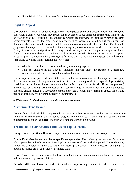• Financial Aid SAP will be reset for students who change from course based to Tempo.

# <span id="page-55-0"></span>**Right to Appeal**

Occasionally, a student's academic progress may be impacted by unusual circumstances that are beyond the student's control. A student may appeal for an extension of academic continuance and financial aid after a period of SAP warning if the student completes the following: at least the minimum required credit equivalencies for the program within the warning evaluation period and if the student can document that unexpected, unusual, and temporary circumstances affected the student's ability to progress at the required rate. Examples of such mitigating circumstances are a death in the immediate family, illness, or other significant life change. Students may appeal to Tempo Learning® Academic Appeal Committee at the end of the financial aid warning period. Students who wish to appeal must complete the *Academic Progress Appeal* form and provide the Academic Appeal Committee with supporting documentation regarding the following:

- Why the student failed to make satisfactory academic progress
- What has changed in the student's situation that will allow the student to demonstrate satisfactory academic progress at the next evaluation

Failure to provide supporting documentation will result in an automatic denial. If the appeal is accepted, the student must meet the requirements outlined in the written approval of the appeal. A pre-existing condition (a condition or illness that a student had before beginning any Walden University program) is not cause for appeal unless there was an unexpected change in that condition. Students may not use the same circumstances in a subsequent appeal, although a student may submit an appeal for a future period of difficulty for different mitigating circumstances.

#### *SAP decisions by the Academic Appeal Committee are final.*

#### <span id="page-55-1"></span>**Maximum Time Frame**

Federal financial aid eligibility expires without warning when the student reaches the maximum time frame or if the financial aid academic progress review makes it clear that the student cannot mathematically finish the current program within the maximum time frame.

#### <span id="page-55-2"></span>**Treatment of Competencies and Credit Equivalencies**

**Competency Repetitions**: Because competencies are not time bound, there are no repetitions.

**Credit Equivalencies are not tied to specific competencies:** The student agrees to a specific number of competencies in the Customized Learning Plan at the start of a subscription period. The student may switch the competencies attempted within the subscription period without necessarily changing the overall attempted credit equivalency attempted total.

**Drops**: Credit equivalencies dropped before the end of the drop period are not included in the financial aid satisfactory progress calculations.

**Periods with No Financial Aid**: Financial aid progress requirements include all periods of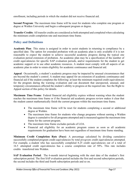enrollment, including periods in which the student did not receive financial aid.

**Second Program**: The maximum time frame will be reset for students who complete one program or degree at Walden University and begin a subsequent program or degree.

**Transfer Credits**: All transfer credits are considered as both attempted and completed when calculating the minimum credit completion rate and maximum time frame.

#### <span id="page-56-0"></span>**Policy and Definitions**

**Academic Plan**: This status is assigned in order to assist students in returning to compliance by a specified date. The option for extended probation with an academic plan is only available if it is not reasonable to expect the student to achieve successful academic progress during the typical one evaluation period extension of probation. An academic plan may be a specification of the number of credit equivalencies for specific SAP evaluation periods, and/or requirements for the student to get academic support or to use other academic resources. A student must comply with all aspects of an academic plan in order to retain eligibility for academic continuance and financial aid.

**Appeal**: Occasionally, a student's academic progress may be impacted by unusual circumstances that are beyond the student's control. A student may appeal for an extension of academic continuance and financial aid if the student completes the following: at least the minimum required credit equivalencies for the program during the warning evaluation and can document that unexpected, unusual, and temporary circumstances affected the student's ability to progress at the required rate. See the Right to Appeal section of this policy for details.

**Maximum Time Frame**: Federal financial aid eligibility expires without warning when the student reaches the maximum time frame or if the financial aid academic progress review makes it clear that the student cannot mathematically finish the current program within the maximum time frame.

- The maximum time frame will be reset for students completing a second or additional degree at Walden.
- The maximum time frame for students who change programs without earning a Walden degree is cumulative for all programs attempted and is measured against the maximum time frame for the current program.
- The maximum time frame excludes periods of LOA.
- Financial aid eligibility for an academic program ceases as soon as all academic requirements for graduation have been met regardless of maximum time frame standing.

**Minimum Credit Completion Rate (Pace)**: A percentage calculated by dividing cumulative successfully completed program credit equivalencies by total program credit equivalencies attempted. For example, a student who has successfully completed 8.25 credit equivalencies out of a total of 16.5 attempted credit equivalencies has a course completion rate of 50%. This rate includes credits transferred into Walden.

**SAP Evaluation Period**: The 6-month interval beginning with the start date of the student's first subscription period. The first SAP evaluation period includes the first and second subscription periods, the second includes the third and fourth subscription periods and so on.